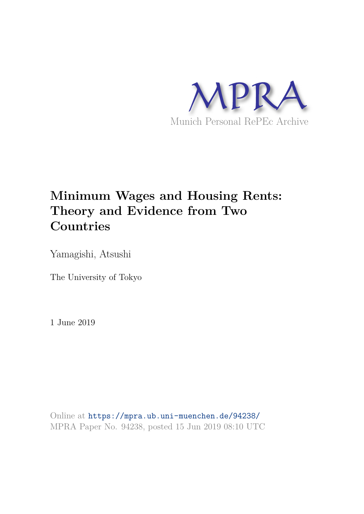

# **Minimum Wages and Housing Rents: Theory and Evidence from Two Countries**

Yamagishi, Atsushi

The University of Tokyo

1 June 2019

Online at https://mpra.ub.uni-muenchen.de/94238/ MPRA Paper No. 94238, posted 15 Jun 2019 08:10 UTC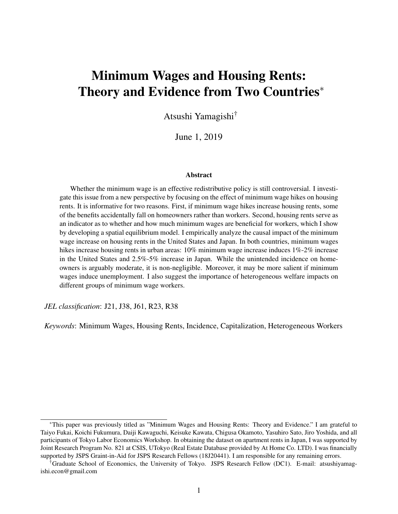# Minimum Wages and Housing Rents: Theory and Evidence from Two Countries<sup>\*</sup>

Atsushi Yamagishi†

June 1, 2019

#### Abstract

Whether the minimum wage is an effective redistributive policy is still controversial. I investigate this issue from a new perspective by focusing on the effect of minimum wage hikes on housing rents. It is informative for two reasons. First, if minimum wage hikes increase housing rents, some of the benefits accidentally fall on homeowners rather than workers. Second, housing rents serve as an indicator as to whether and how much minimum wages are beneficial for workers, which I show by developing a spatial equilibrium model. I empirically analyze the causal impact of the minimum wage increase on housing rents in the United States and Japan. In both countries, minimum wages hikes increase housing rents in urban areas: 10% minimum wage increase induces 1%-2% increase in the United States and 2.5%-5% increase in Japan. While the unintended incidence on homeowners is arguably moderate, it is non-negligible. Moreover, it may be more salient if minimum wages induce unemployment. I also suggest the importance of heterogeneous welfare impacts on different groups of minimum wage workers.

*JEL classification*: J21, J38, J61, R23, R38

*Keywords*: Minimum Wages, Housing Rents, Incidence, Capitalization, Heterogeneous Workers

<sup>∗</sup>This paper was previously titled as "Minimum Wages and Housing Rents: Theory and Evidence." I am grateful to Taiyo Fukai, Koichi Fukumura, Daiji Kawaguchi, Keisuke Kawata, Chigusa Okamoto, Yasuhiro Sato, Jiro Yoshida, and all participants of Tokyo Labor Economics Workshop. In obtaining the dataset on apartment rents in Japan, I was supported by Joint Research Program No. 821 at CSIS, UTokyo (Real Estate Database provided by At Home Co. LTD). I was financially supported by JSPS Graint-in-Aid for JSPS Research Fellows (18J20441). I am responsible for any remaining errors.

<sup>†</sup>Graduate School of Economics, the University of Tokyo. JSPS Research Fellow (DC1). E-mail: atsushiyamagishi.econ@gmail.com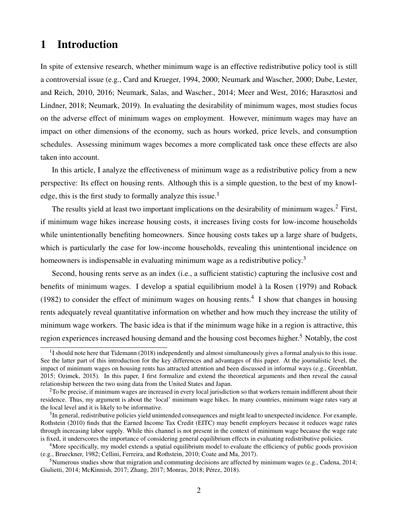## 1 Introduction

In spite of extensive research, whether minimum wage is an effective redistributive policy tool is still a controversial issue (e.g., Card and Krueger, 1994, 2000; Neumark and Wascher, 2000; Dube, Lester, and Reich, 2010, 2016; Neumark, Salas, and Wascher., 2014; Meer and West, 2016; Harasztosi and Lindner, 2018; Neumark, 2019). In evaluating the desirability of minimum wages, most studies focus on the adverse effect of minimum wages on employment. However, minimum wages may have an impact on other dimensions of the economy, such as hours worked, price levels, and consumption schedules. Assessing minimum wages becomes a more complicated task once these effects are also taken into account.

In this article, I analyze the effectiveness of minimum wage as a redistributive policy from a new perspective: Its effect on housing rents. Although this is a simple question, to the best of my knowledge, this is the first study to formally analyze this issue.<sup>1</sup>

The results yield at least two important implications on the desirability of minimum wages.<sup>2</sup> First, if minimum wage hikes increase housing costs, it increases living costs for low-income households while unintentionally benefiting homeowners. Since housing costs takes up a large share of budgets, which is particularly the case for low-income households, revealing this unintentional incidence on homeowners is indispensable in evaluating minimum wage as a redistributive policy.<sup>3</sup>

Second, housing rents serve as an index (i.e., a sufficient statistic) capturing the inclusive cost and benefits of minimum wages. I develop a spatial equilibrium model à la Rosen (1979) and Roback (1982) to consider the effect of minimum wages on housing rents.<sup>4</sup> I show that changes in housing rents adequately reveal quantitative information on whether and how much they increase the utility of minimum wage workers. The basic idea is that if the minimum wage hike in a region is attractive, this region experiences increased housing demand and the housing cost becomes higher.<sup>5</sup> Notably, the cost

 $1$ I should note here that Tidemann (2018) independently and almost simultaneously gives a formal analysis to this issue. See the latter part of this introduction for the key differences and advantages of this paper. At the journalistic level, the impact of minimum wages on housing rents has attracted attention and been discussed in informal ways (e.g., Greenblatt, 2015; Ozimek, 2015). In this paper, I first formalize and extend the theoretical arguments and then reveal the causal relationship between the two using data from the United States and Japan.

<sup>&</sup>lt;sup>2</sup>To be precise, if minimum wages are increased in every local jurisdiction so that workers remain indifferent about their residence. Thus, my argument is about the 'local' minimum wage hikes. In many countries, minimum wage rates vary at the local level and it is likely to be informative.

 $3$ In general, redistributive policies yield unintended consequences and might lead to unexpected incidence. For example, Rothstein (2010) finds that the Earned Income Tax Credit (EITC) may benefit employers because it reduces wage rates through increasing labor supply. While this channel is not present in the context of minimum wage because the wage rate is fixed, it underscores the importance of considering general equilibrium effects in evaluating redistributive policies.

<sup>&</sup>lt;sup>4</sup>More specifically, my model extends a spatial equilibrium model to evaluate the efficiency of public goods provision (e.g., Brueckner, 1982; Cellini, Ferreira, and Rothstein, 2010; Coate and Ma, 2017).

<sup>&</sup>lt;sup>5</sup>Numerous studies show that migration and commuting decisions are affected by minimum wages (e.g., Cadena, 2014; Giulietti, 2014; McKinnish, 2017; Zhang, 2017; Monras, 2018; Pérez, 2018).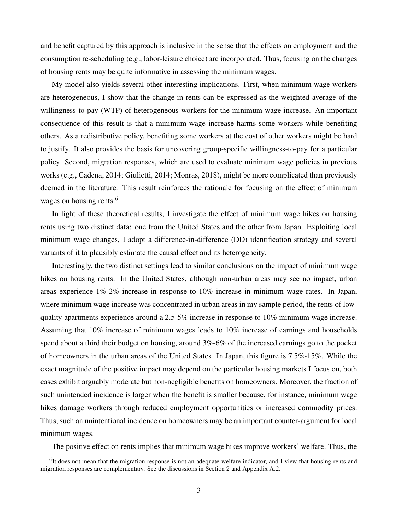and benefit captured by this approach is inclusive in the sense that the effects on employment and the consumption re-scheduling (e.g., labor-leisure choice) are incorporated. Thus, focusing on the changes of housing rents may be quite informative in assessing the minimum wages.

My model also yields several other interesting implications. First, when minimum wage workers are heterogeneous, I show that the change in rents can be expressed as the weighted average of the willingness-to-pay (WTP) of heterogeneous workers for the minimum wage increase. An important consequence of this result is that a minimum wage increase harms some workers while benefiting others. As a redistributive policy, benefiting some workers at the cost of other workers might be hard to justify. It also provides the basis for uncovering group-specific willingness-to-pay for a particular policy. Second, migration responses, which are used to evaluate minimum wage policies in previous works (e.g., Cadena, 2014; Giulietti, 2014; Monras, 2018), might be more complicated than previously deemed in the literature. This result reinforces the rationale for focusing on the effect of minimum wages on housing rents.<sup>6</sup>

In light of these theoretical results, I investigate the effect of minimum wage hikes on housing rents using two distinct data: one from the United States and the other from Japan. Exploiting local minimum wage changes, I adopt a difference-in-difference (DD) identification strategy and several variants of it to plausibly estimate the causal effect and its heterogeneity.

Interestingly, the two distinct settings lead to similar conclusions on the impact of minimum wage hikes on housing rents. In the United States, although non-urban areas may see no impact, urban areas experience 1%-2% increase in response to 10% increase in minimum wage rates. In Japan, where minimum wage increase was concentrated in urban areas in my sample period, the rents of lowquality apartments experience around a 2.5-5% increase in response to 10% minimum wage increase. Assuming that 10% increase of minimum wages leads to 10% increase of earnings and households spend about a third their budget on housing, around 3%-6% of the increased earnings go to the pocket of homeowners in the urban areas of the United States. In Japan, this figure is 7.5%-15%. While the exact magnitude of the positive impact may depend on the particular housing markets I focus on, both cases exhibit arguably moderate but non-negligible benefits on homeowners. Moreover, the fraction of such unintended incidence is larger when the benefit is smaller because, for instance, minimum wage hikes damage workers through reduced employment opportunities or increased commodity prices. Thus, such an unintentional incidence on homeowners may be an important counter-argument for local minimum wages.

The positive effect on rents implies that minimum wage hikes improve workers' welfare. Thus, the

<sup>&</sup>lt;sup>6</sup>It does not mean that the migration response is not an adequate welfare indicator, and I view that housing rents and migration responses are complementary. See the discussions in Section 2 and Appendix A.2.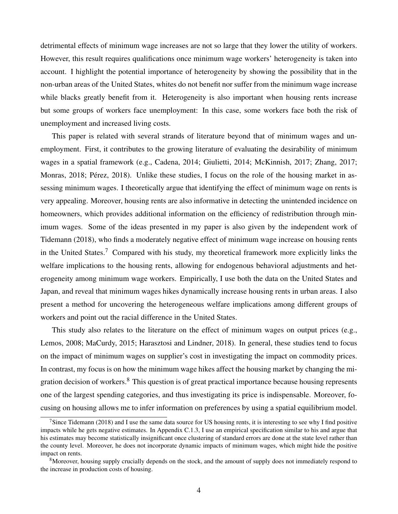detrimental effects of minimum wage increases are not so large that they lower the utility of workers. However, this result requires qualifications once minimum wage workers' heterogeneity is taken into account. I highlight the potential importance of heterogeneity by showing the possibility that in the non-urban areas of the United States, whites do not benefit nor suffer from the minimum wage increase while blacks greatly benefit from it. Heterogeneity is also important when housing rents increase but some groups of workers face unemployment: In this case, some workers face both the risk of unemployment and increased living costs.

This paper is related with several strands of literature beyond that of minimum wages and unemployment. First, it contributes to the growing literature of evaluating the desirability of minimum wages in a spatial framework (e.g., Cadena, 2014; Giulietti, 2014; McKinnish, 2017; Zhang, 2017; Monras, 2018; Pérez, 2018). Unlike these studies, I focus on the role of the housing market in assessing minimum wages. I theoretically argue that identifying the effect of minimum wage on rents is very appealing. Moreover, housing rents are also informative in detecting the unintended incidence on homeowners, which provides additional information on the efficiency of redistribution through minimum wages. Some of the ideas presented in my paper is also given by the independent work of Tidemann (2018), who finds a moderately negative effect of minimum wage increase on housing rents in the United States.<sup>7</sup> Compared with his study, my theoretical framework more explicitly links the welfare implications to the housing rents, allowing for endogenous behavioral adjustments and heterogeneity among minimum wage workers. Empirically, I use both the data on the United States and Japan, and reveal that minimum wages hikes dynamically increase housing rents in urban areas. I also present a method for uncovering the heterogeneous welfare implications among different groups of workers and point out the racial difference in the United States.

This study also relates to the literature on the effect of minimum wages on output prices (e.g., Lemos, 2008; MaCurdy, 2015; Harasztosi and Lindner, 2018). In general, these studies tend to focus on the impact of minimum wages on supplier's cost in investigating the impact on commodity prices. In contrast, my focus is on how the minimum wage hikes affect the housing market by changing the migration decision of workers.<sup>8</sup> This question is of great practical importance because housing represents one of the largest spending categories, and thus investigating its price is indispensable. Moreover, focusing on housing allows me to infer information on preferences by using a spatial equilibrium model.

<sup>&</sup>lt;sup>7</sup>Since Tidemann (2018) and I use the same data source for US housing rents, it is interesting to see why I find positive impacts while he gets negative estimates. In Appendix C.1.3, I use an empirical specification similar to his and argue that his estimates may become statistically insignificant once clustering of standard errors are done at the state level rather than the county level. Moreover, he does not incorporate dynamic impacts of minimum wages, which might hide the positive impact on rents.

<sup>&</sup>lt;sup>8</sup>Moreover, housing supply crucially depends on the stock, and the amount of supply does not immediately respond to the increase in production costs of housing.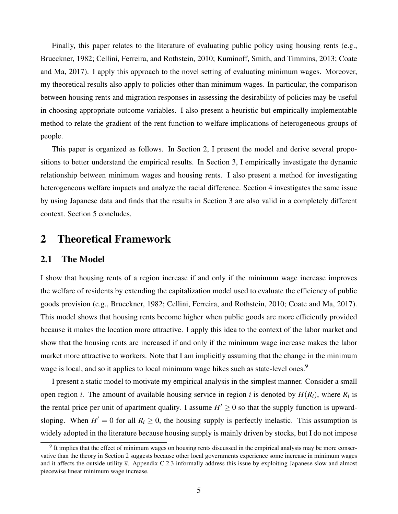Finally, this paper relates to the literature of evaluating public policy using housing rents (e.g., Brueckner, 1982; Cellini, Ferreira, and Rothstein, 2010; Kuminoff, Smith, and Timmins, 2013; Coate and Ma, 2017). I apply this approach to the novel setting of evaluating minimum wages. Moreover, my theoretical results also apply to policies other than minimum wages. In particular, the comparison between housing rents and migration responses in assessing the desirability of policies may be useful in choosing appropriate outcome variables. I also present a heuristic but empirically implementable method to relate the gradient of the rent function to welfare implications of heterogeneous groups of people.

This paper is organized as follows. In Section 2, I present the model and derive several propositions to better understand the empirical results. In Section 3, I empirically investigate the dynamic relationship between minimum wages and housing rents. I also present a method for investigating heterogeneous welfare impacts and analyze the racial difference. Section 4 investigates the same issue by using Japanese data and finds that the results in Section 3 are also valid in a completely different context. Section 5 concludes.

## 2 Theoretical Framework

### 2.1 The Model

I show that housing rents of a region increase if and only if the minimum wage increase improves the welfare of residents by extending the capitalization model used to evaluate the efficiency of public goods provision (e.g., Brueckner, 1982; Cellini, Ferreira, and Rothstein, 2010; Coate and Ma, 2017). This model shows that housing rents become higher when public goods are more efficiently provided because it makes the location more attractive. I apply this idea to the context of the labor market and show that the housing rents are increased if and only if the minimum wage increase makes the labor market more attractive to workers. Note that I am implicitly assuming that the change in the minimum wage is local, and so it applies to local minimum wage hikes such as state-level ones.<sup>9</sup>

I present a static model to motivate my empirical analysis in the simplest manner. Consider a small open region *i*. The amount of available housing service in region *i* is denoted by  $H(R_i)$ , where  $R_i$  is the rental price per unit of apartment quality. I assume  $H' \geq 0$  so that the supply function is upwardsloping. When  $H' = 0$  for all  $R_i \ge 0$ , the housing supply is perfectly inelastic. This assumption is widely adopted in the literature because housing supply is mainly driven by stocks, but I do not impose

<sup>&</sup>lt;sup>9</sup> It implies that the effect of minimum wages on housing rents discussed in the empirical analysis may be more conservative than the theory in Section 2 suggests because other local governments experience some increase in minimum wages and it affects the outside utility  $\bar{u}$ . Appendix C.2.3 informally address this issue by exploiting Japanese slow and almost piecewise linear minimum wage increase.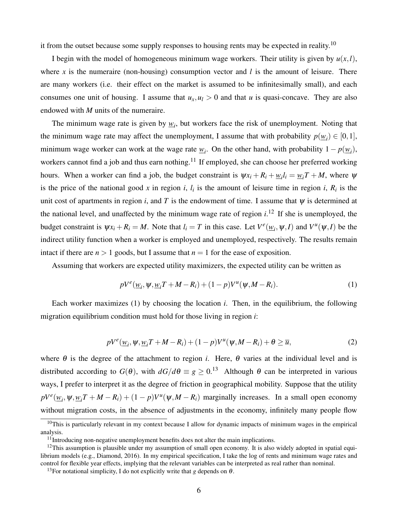it from the outset because some supply responses to housing rents may be expected in reality.<sup>10</sup>

I begin with the model of homogeneous minimum wage workers. Their utility is given by  $u(x, l)$ , where x is the numeraire (non-housing) consumption vector and  $l$  is the amount of leisure. There are many workers (i.e. their effect on the market is assumed to be infinitesimally small), and each consumes one unit of housing. I assume that  $u_x, u_l > 0$  and that *u* is quasi-concave. They are also endowed with *M* units of the numeraire.

The minimum wage rate is given by  $\underline{w}_i$ , but workers face the risk of unemployment. Noting that the minimum wage rate may affect the unemployment, I assume that with probability  $p(\underline{w}_i) \in [0,1]$ , minimum wage worker can work at the wage rate  $w_i$ . On the other hand, with probability  $1 - p(\underline{w}_i)$ , workers cannot find a job and thus earn nothing.<sup>11</sup> If employed, she can choose her preferred working hours. When a worker can find a job, the budget constraint is  $\psi x_i + R_i + \psi_i l_i = \psi_i T + M$ , where  $\psi$ is the price of the national good x in region *i*,  $l_i$  is the amount of leisure time in region *i*,  $R_i$  is the unit cost of apartments in region *i*, and *T* is the endowment of time. I assume that  $\psi$  is determined at the national level, and unaffected by the minimum wage rate of region  $i$ .<sup>12</sup> If she is unemployed, the budget constraint is  $\psi x_i + R_i = M$ . Note that  $l_i = T$  in this case. Let  $V^e(\underline{w}_i, \psi, I)$  and  $V^u(\psi, I)$  be the indirect utility function when a worker is employed and unemployed, respectively. The results remain intact if there are  $n > 1$  goods, but I assume that  $n = 1$  for the ease of exposition.

Assuming that workers are expected utility maximizers, the expected utility can be written as

$$
pV^e(\underline{w}_i, \Psi, \underline{w}_i T + M - R_i) + (1 - p)V^u(\Psi, M - R_i).
$$
\n(1)

Each worker maximizes (1) by choosing the location *i*. Then, in the equilibrium, the following migration equilibrium condition must hold for those living in region *i*:

$$
pV^e(\underline{w}_i, \psi, \underline{w}_i T + M - R_i) + (1 - p)V^u(\psi, M - R_i) + \theta \ge \overline{u},\tag{2}
$$

where  $\theta$  is the degree of the attachment to region *i*. Here,  $\theta$  varies at the individual level and is distributed according to  $G(\theta)$ , with  $dG/d\theta \equiv g \ge 0.13$  Although  $\theta$  can be interpreted in various ways, I prefer to interpret it as the degree of friction in geographical mobility. Suppose that the utility  $pV^e(\underline{w}_i, \psi, \underline{w}_i) + (1 - p)V^u(\psi, M - R_i)$  marginally increases. In a small open economy without migration costs, in the absence of adjustments in the economy, infinitely many people flow

<sup>&</sup>lt;sup>10</sup>This is particularly relevant in my context because I allow for dynamic impacts of minimum wages in the empirical analysis.

 $11$ Introducing non-negative unemployment benefits does not alter the main implications.

 $12$ This assumption is plausible under my assumption of small open economy. It is also widely adopted in spatial equilibrium models (e.g., Diamond, 2016). In my empirical specification, I take the log of rents and minimum wage rates and control for flexible year effects, implying that the relevant variables can be interpreted as real rather than nominal.

<sup>&</sup>lt;sup>13</sup>For notational simplicity, I do not explicitly write that *g* depends on  $\theta$ .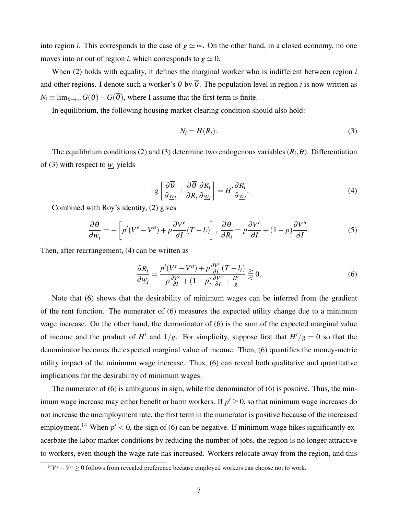into region *i*. This corresponds to the case of  $g \simeq \infty$ . On the other hand, in a closed economy, no one moves into or out of region *i*, which corresponds to  $g \approx 0$ .

When (2) holds with equality, it defines the marginal worker who is indifferent between region *i* and other regions. I denote such a worker's  $\theta$  by  $\overline{\theta}$ . The population level in region *i* is now written as  $N_i \equiv \lim_{\theta \to \infty} G(\theta) - G(\overline{\theta})$ , where I assume that the first term is finite.

In equilibrium, the following housing market clearing condition should also hold:

$$
N_i = H(R_i). \tag{3}
$$

The equilibrium conditions (2) and (3) determine two endogenous variables  $(R_i, \theta)$ . Differentiation of (3) with respect to  $\underline{w}_i$  yields

$$
-g\left[\frac{\partial\overline{\theta}}{\partial \underline{w}_i} + \frac{\partial\overline{\theta}}{\partial R_i}\frac{\partial R_i}{\partial \underline{w}_i}\right] = H'\frac{\partial R_i}{\partial \underline{w}_i}.
$$
\n(4)

Combined with Roy's identity, (2) gives

$$
\frac{\partial \overline{\theta}}{\partial \underline{w}_i} = -\left[ p'(V^e - V^u) + p \frac{\partial V^e}{\partial I} (T - l_i) \right], \frac{\partial \overline{\theta}}{\partial R_i} = p \frac{\partial V^e}{\partial I} + (1 - p) \frac{\partial V^u}{\partial I}.
$$
(5)

Then, after rearrangement, (4) can be written as

$$
\frac{\partial R_i}{\partial \underline{w}_i} = \frac{p'(V^e - V^u) + p \frac{\partial V^e}{\partial I} (T - l_i)}{p \frac{\partial V^e}{\partial I} + (1 - p) \frac{\partial V^u}{\partial I} + \frac{H'}{g}} \gtrless 0.
$$
\n
$$
(6)
$$

Note that (6) shows that the desirability of minimum wages can be inferred from the gradient of the rent function. The numerator of (6) measures the expected utility change due to a minimum wage increase. On the other hand, the denominator of (6) is the sum of the expected marginal value of income and the product of *H'* and  $1/g$ . For simplicity, suppose first that  $H'/g = 0$  so that the denominator becomes the expected marginal value of income. Then, (6) quantifies the money-metric utility impact of the minimum wage increase. Thus, (6) can reveal both qualitative and quantitative implications for the desirability of minimum wages.

The numerator of (6) is ambiguous in sign, while the denominator of (6) is positive. Thus, the minimum wage increase may either benefit or harm workers. If  $p' \geq 0$ , so that minimum wage increases do not increase the unemployment rate, the first term in the numerator is positive because of the increased employment.<sup>14</sup> When  $p' < 0$ , the sign of (6) can be negative. If minimum wage hikes significantly exacerbate the labor market conditions by reducing the number of jobs, the region is no longer attractive to workers, even though the wage rate has increased. Workers relocate away from the region, and this

 $14V^e - V^u \ge 0$  follows from revealed preference because employed workers can choose not to work.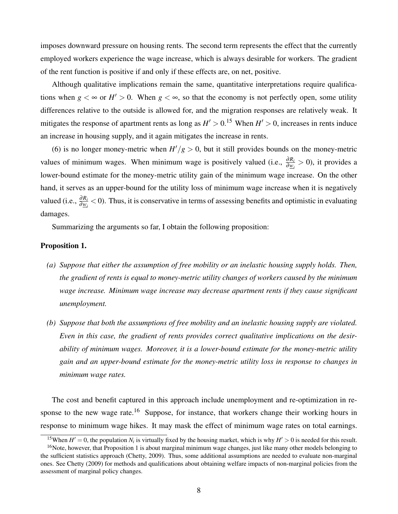imposes downward pressure on housing rents. The second term represents the effect that the currently employed workers experience the wage increase, which is always desirable for workers. The gradient of the rent function is positive if and only if these effects are, on net, positive.

Although qualitative implications remain the same, quantitative interpretations require qualifications when  $g \leq \infty$  or  $H' > 0$ . When  $g \leq \infty$ , so that the economy is not perfectly open, some utility differences relative to the outside is allowed for, and the migration responses are relatively weak. It mitigates the response of apartment rents as long as  $H' > 0$ .<sup>15</sup> When  $H' > 0$ , increases in rents induce an increase in housing supply, and it again mitigates the increase in rents.

(6) is no longer money-metric when  $H'/g > 0$ , but it still provides bounds on the money-metric values of minimum wages. When minimum wage is positively valued (i.e.,  $\frac{\partial R_i}{\partial w_i} > 0$ ), it provides a lower-bound estimate for the money-metric utility gain of the minimum wage increase. On the other hand, it serves as an upper-bound for the utility loss of minimum wage increase when it is negatively valued (i.e.,  $\frac{\partial R_i}{\partial w_i}$  < 0). Thus, it is conservative in terms of assessing benefits and optimistic in evaluating damages.

Summarizing the arguments so far, I obtain the following proposition:

#### Proposition 1.

- *(a) Suppose that either the assumption of free mobility or an inelastic housing supply holds. Then, the gradient of rents is equal to money-metric utility changes of workers caused by the minimum wage increase. Minimum wage increase may decrease apartment rents if they cause significant unemployment.*
- *(b) Suppose that both the assumptions of free mobility and an inelastic housing supply are violated. Even in this case, the gradient of rents provides correct qualitative implications on the desirability of minimum wages. Moreover, it is a lower-bound estimate for the money-metric utility gain and an upper-bound estimate for the money-metric utility loss in response to changes in minimum wage rates.*

The cost and benefit captured in this approach include unemployment and re-optimization in response to the new wage rate.<sup>16</sup> Suppose, for instance, that workers change their working hours in response to minimum wage hikes. It may mask the effect of minimum wage rates on total earnings.

<sup>&</sup>lt;sup>15</sup>When  $H' = 0$ , the population  $N_i$  is virtually fixed by the housing market, which is why  $H' > 0$  is needed for this result.

 $16$ Note, however, that Proposition 1 is about marginal minimum wage changes, just like many other models belonging to the sufficient statistics approach (Chetty, 2009). Thus, some additional assumptions are needed to evaluate non-marginal ones. See Chetty (2009) for methods and qualifications about obtaining welfare impacts of non-marginal policies from the assessment of marginal policy changes.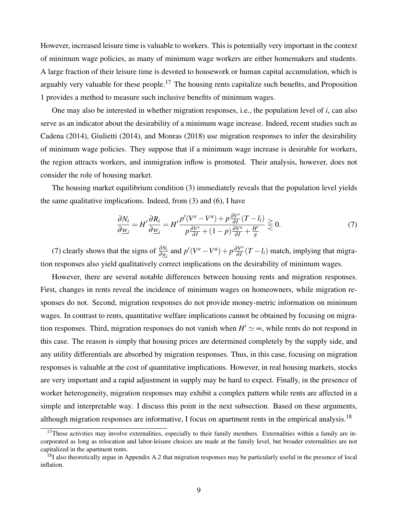However, increased leisure time is valuable to workers. This is potentially very important in the context of minimum wage policies, as many of minimum wage workers are either homemakers and students. A large fraction of their leisure time is devoted to housework or human capital accumulation, which is arguably very valuable for these people.<sup>17</sup> The housing rents capitalize such benefits, and Proposition 1 provides a method to measure such inclusive benefits of minimum wages.

One may also be interested in whether migration responses, i.e., the population level of *i*, can also serve as an indicator about the desirability of a minimum wage increase. Indeed, recent studies such as Cadena (2014), Giulietti (2014), and Monras (2018) use migration responses to infer the desirability of minimum wage policies. They suppose that if a minimum wage increase is desirable for workers, the region attracts workers, and immigration inflow is promoted. Their analysis, however, does not consider the role of housing market.

The housing market equilibrium condition (3) immediately reveals that the population level yields the same qualitative implications. Indeed, from (3) and (6), I have

$$
\frac{\partial N_i}{\partial \underline{w}_i} = H' \frac{\partial R_i}{\partial \underline{w}_i} = H' \frac{p'(V^e - V^u) + p \frac{\partial V^e}{\partial I} (T - l_i)}{p \frac{\partial V^e}{\partial I} + (1 - p) \frac{\partial V^u}{\partial I} + \frac{H'}{g}} \gtrless 0.
$$
\n(7)

(7) clearly shows that the signs of  $\frac{\partial N_i}{\partial w_i}$  and  $p'(V^e - V^u) + p \frac{\partial V^e}{\partial I}$  $\frac{\partial V^c}{\partial I}(T - l_i)$  match, implying that migration responses also yield qualitatively correct implications on the desirability of minimum wages.

However, there are several notable differences between housing rents and migration responses. First, changes in rents reveal the incidence of minimum wages on homeowners, while migration responses do not. Second, migration responses do not provide money-metric information on minimum wages. In contrast to rents, quantitative welfare implications cannot be obtained by focusing on migration responses. Third, migration responses do not vanish when  $H' \simeq \infty$ , while rents do not respond in this case. The reason is simply that housing prices are determined completely by the supply side, and any utility differentials are absorbed by migration responses. Thus, in this case, focusing on migration responses is valuable at the cost of quantitative implications. However, in real housing markets, stocks are very important and a rapid adjustment in supply may be hard to expect. Finally, in the presence of worker heterogeneity, migration responses may exhibit a complex pattern while rents are affected in a simple and interpretable way. I discuss this point in the next subsection. Based on these arguments, although migration responses are informative, I focus on apartment rents in the empirical analysis.<sup>18</sup>

 $17$ These activities may involve externalities, especially to their family members. Externalities within a family are incorporated as long as relocation and labor-leisure choices are made at the family level, but broader externalities are not capitalized in the apartment rents.

 $<sup>18</sup>I$  also theoretically argue in Appendix A.2 that migration responses may be particularly useful in the presence of local</sup> inflation.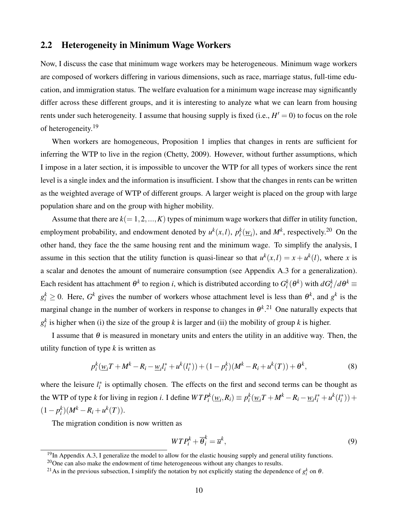### 2.2 Heterogeneity in Minimum Wage Workers

Now, I discuss the case that minimum wage workers may be heterogeneous. Minimum wage workers are composed of workers differing in various dimensions, such as race, marriage status, full-time education, and immigration status. The welfare evaluation for a minimum wage increase may significantly differ across these different groups, and it is interesting to analyze what we can learn from housing rents under such heterogeneity. I assume that housing supply is fixed  $(i.e., H' = 0)$  to focus on the role of heterogeneity.<sup>19</sup>

When workers are homogeneous, Proposition 1 implies that changes in rents are sufficient for inferring the WTP to live in the region (Chetty, 2009). However, without further assumptions, which I impose in a later section, it is impossible to uncover the WTP for all types of workers since the rent level is a single index and the information is insufficient. I show that the changes in rents can be written as the weighted average of WTP of different groups. A larger weight is placed on the group with large population share and on the group with higher mobility.

Assume that there are  $k(= 1, 2, ..., K)$  types of minimum wage workers that differ in utility function, employment probability, and endowment denoted by  $u^k(x, l)$ ,  $p_i^k(\underline{w}_i)$ , and  $M^k$ , respectively.<sup>20</sup> On the other hand, they face the the same housing rent and the minimum wage. To simplify the analysis, I assume in this section that the utility function is quasi-linear so that  $u^k(x, l) = x + u^k(l)$ , where *x* is a scalar and denotes the amount of numeraire consumption (see Appendix A.3 for a generalization). Each resident has attachment  $\theta^k$  to region *i*, which is distributed according to  $G^k_i(\theta^k)$  with  $dG^k_i/d\theta^k$   $\equiv$  $g_i^k \geq 0$ . Here,  $G^k$  gives the number of workers whose attachment level is less than  $\theta^k$ , and  $g^k$  is the marginal change in the number of workers in response to changes in  $\theta^{k}$ .<sup>21</sup> One naturally expects that  $g_i^k$  is higher when (i) the size of the group *k* is larger and (ii) the mobility of group *k* is higher.

I assume that  $\theta$  is measured in monetary units and enters the utility in an additive way. Then, the utility function of type *k* is written as

$$
p_i^k(\underline{w}_i T + M^k - R_i - \underline{w}_i l_i^* + u^k(l_i^*)) + (1 - p_i^k)(M^k - R_i + u^k(T)) + \theta^k,
$$
\n(8)

where the leisure  $l_i^*$  is optimally chosen. The effects on the first and second terms can be thought as the WTP of type k for living in region *i*. I define  $WTP_i^k(\underline{w}_i, R_i) \equiv p_i^k(\underline{w}_iT + M^k - R_i - \underline{w}_i l_i^* + u^k(l_i^*))$  +  $(1-p_i^k)(M^k - R_i + u^k(T)).$ 

The migration condition is now written as

$$
WTP_i^k + \overline{\theta}_i^k = \overline{u}^k,\tag{9}
$$

 $19$ In Appendix A.3, I generalize the model to allow for the elastic housing supply and general utility functions.

 $^{20}$ One can also make the endowment of time heterogeneous without any changes to results.

<sup>&</sup>lt;sup>21</sup>As in the previous subsection, I simplify the notation by not explicitly stating the dependence of  $g_i^k$  on  $\theta$ .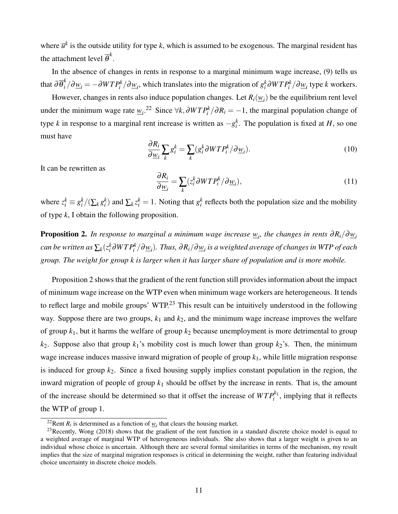where  $\bar{u}^k$  is the outside utility for type *k*, which is assumed to be exogenous. The marginal resident has the attachment level  $\overline{\theta}^k$ .

In the absence of changes in rents in response to a marginal minimum wage increase, (9) tells us that  $\partial \overline{\theta}_i^k/\partial \underline{w}_i = -\partial WTP_i^k/\partial \underline{w}_i$ , which translates into the migration of  $g_i^k \partial WTP_i^k/\partial \underline{w}_i$  type  $k$  workers.

However, changes in rents also induce population changes. Let  $R_i(\underline{w}_i)$  be the equilibrium rent level under the minimum wage rate  $w_i$ <sup>22</sup> Since  $\forall k, \partial WTP_i^k/\partial R_i = -1$ , the marginal population change of type *k* in response to a marginal rent increase is written as  $-g_i^k$ . The population is fixed at *H*, so one must have

$$
\frac{\partial R_i}{\partial \underline{w}_i} \sum_k g_i^k = \sum_k (g_i^k \partial W T P_i^k / \partial \underline{w}_i).
$$
\n(10)

It can be rewritten as

$$
\frac{\partial R_i}{\partial \underline{w}_i} = \sum_k (z_i^k \partial W T P_i^k / \partial \underline{w}_i),\tag{11}
$$

where  $z_i^k \equiv g_i^k/(\sum_k g_i^k)$  and  $\sum_k z_i^k = 1$ . Noting that  $g_i^k$  reflects both the population size and the mobility of type *k*, I obtain the following proposition.

**Proposition 2.** In response to marginal a minimum wage increase  $w_i$ , the changes in rents  $\partial R_i/\partial \underline{w}_i$  $c$ an be written as  $\sum_k (z_i^k\partial WTP_i^k/\partial \underline{w}_i).$  Thus,  $\partial R_i/\partial \underline{w}_i$  is a weighted average of changes in WTP of each *group. The weight for group k is larger when it has larger share of population and is more mobile.*

Proposition 2 shows that the gradient of the rent function still provides information about the impact of minimum wage increase on the WTP even when minimum wage workers are heterogeneous. It tends to reflect large and mobile groups' WTP.<sup>23</sup> This result can be intuitively understood in the following way. Suppose there are two groups, *k*<sup>1</sup> and *k*2, and the minimum wage increase improves the welfare of group  $k_1$ , but it harms the welfare of group  $k_2$  because unemployment is more detrimental to group  $k_2$ . Suppose also that group  $k_1$ 's mobility cost is much lower than group  $k_2$ 's. Then, the minimum wage increase induces massive inward migration of people of group *k*1, while little migration response is induced for group  $k_2$ . Since a fixed housing supply implies constant population in the region, the inward migration of people of group *k*<sup>1</sup> should be offset by the increase in rents. That is, the amount of the increase should be determined so that it offset the increase of  $WTP_i^{k_1}$ , implying that it reflects the WTP of group 1.

<sup>&</sup>lt;sup>22</sup>Rent  $R_i$  is determined as a function of  $w_i$  that clears the housing market.

<sup>&</sup>lt;sup>23</sup>Recently, Wong (2018) shows that the gradient of the rent function in a standard discrete choice model is equal to a weighted average of marginal WTP of heterogeneous individuals. She also shows that a larger weight is given to an individual whose choice is uncertain. Although there are several formal similarities in terms of the mechanism, my result implies that the size of marginal migration responses is critical in determining the weight, rather than featuring individual choice uncertainty in discrete choice models.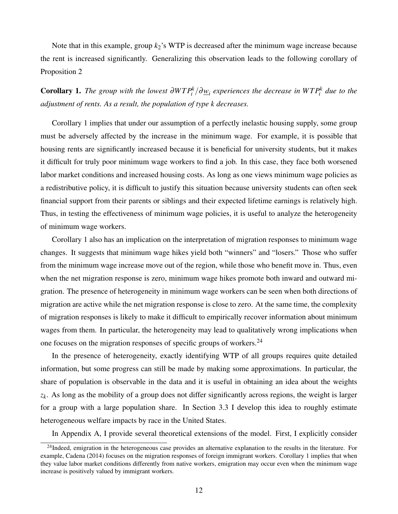Note that in this example, group *k*2's WTP is decreased after the minimum wage increase because the rent is increased significantly. Generalizing this observation leads to the following corollary of Proposition 2

**Corollary 1.** The group with the lowest  $\partial WTP_i^k/\partial \underline{w}_i$  experiences the decrease in  $WTP_i^k$  due to the *adjustment of rents. As a result, the population of type k decreases.*

Corollary 1 implies that under our assumption of a perfectly inelastic housing supply, some group must be adversely affected by the increase in the minimum wage. For example, it is possible that housing rents are significantly increased because it is beneficial for university students, but it makes it difficult for truly poor minimum wage workers to find a job. In this case, they face both worsened labor market conditions and increased housing costs. As long as one views minimum wage policies as a redistributive policy, it is difficult to justify this situation because university students can often seek financial support from their parents or siblings and their expected lifetime earnings is relatively high. Thus, in testing the effectiveness of minimum wage policies, it is useful to analyze the heterogeneity of minimum wage workers.

Corollary 1 also has an implication on the interpretation of migration responses to minimum wage changes. It suggests that minimum wage hikes yield both "winners" and "losers." Those who suffer from the minimum wage increase move out of the region, while those who benefit move in. Thus, even when the net migration response is zero, minimum wage hikes promote both inward and outward migration. The presence of heterogeneity in minimum wage workers can be seen when both directions of migration are active while the net migration response is close to zero. At the same time, the complexity of migration responses is likely to make it difficult to empirically recover information about minimum wages from them. In particular, the heterogeneity may lead to qualitatively wrong implications when one focuses on the migration responses of specific groups of workers.<sup>24</sup>

In the presence of heterogeneity, exactly identifying WTP of all groups requires quite detailed information, but some progress can still be made by making some approximations. In particular, the share of population is observable in the data and it is useful in obtaining an idea about the weights *zk* . As long as the mobility of a group does not differ significantly across regions, the weight is larger for a group with a large population share. In Section 3.3 I develop this idea to roughly estimate heterogeneous welfare impacts by race in the United States.

In Appendix A, I provide several theoretical extensions of the model. First, I explicitly consider

 $24$ Indeed, emigration in the heterogeneous case provides an alternative explanation to the results in the literature. For example, Cadena (2014) focuses on the migration responses of foreign immigrant workers. Corollary 1 implies that when they value labor market conditions differently from native workers, emigration may occur even when the minimum wage increase is positively valued by immigrant workers.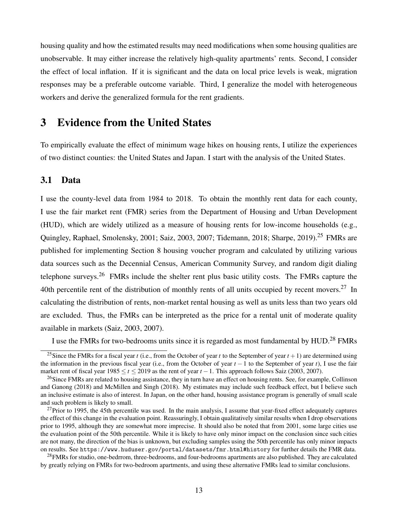housing quality and how the estimated results may need modifications when some housing qualities are unobservable. It may either increase the relatively high-quality apartments' rents. Second, I consider the effect of local inflation. If it is significant and the data on local price levels is weak, migration responses may be a preferable outcome variable. Third, I generalize the model with heterogeneous workers and derive the generalized formula for the rent gradients.

## 3 Evidence from the United States

To empirically evaluate the effect of minimum wage hikes on housing rents, I utilize the experiences of two distinct counties: the United States and Japan. I start with the analysis of the United States.

## 3.1 Data

I use the county-level data from 1984 to 2018. To obtain the monthly rent data for each county, I use the fair market rent (FMR) series from the Department of Housing and Urban Development (HUD), which are widely utilized as a measure of housing rents for low-income households (e.g., Quingley, Raphael, Smolensky, 2001; Saiz, 2003, 2007; Tidemann, 2018; Sharpe, 2019).<sup>25</sup> FMRs are published for implementing Section 8 housing voucher program and calculated by utilizing various data sources such as the Decennial Census, American Community Survey, and random digit dialing telephone surveys.<sup>26</sup> FMRs include the shelter rent plus basic utility costs. The FMRs capture the 40th percentile rent of the distribution of monthly rents of all units occupied by recent movers.<sup>27</sup> In calculating the distribution of rents, non-market rental housing as well as units less than two years old are excluded. Thus, the FMRs can be interpreted as the price for a rental unit of moderate quality available in markets (Saiz, 2003, 2007).

I use the FMRs for two-bedrooms units since it is regarded as most fundamental by HUD.<sup>28</sup> FMRs

<sup>&</sup>lt;sup>25</sup>Since the FMRs for a fiscal year *t* (i.e., from the October of year *t* to the September of year  $t + 1$ ) are determined using the information in the previous fiscal year (i.e., from the October of year *t* − 1 to the September of year *t*), I use the fair market rent of fiscal year 1985 ≤ *t* ≤ 2019 as the rent of year *t* −1. This approach follows Saiz (2003, 2007).

<sup>&</sup>lt;sup>26</sup>Since FMRs are related to housing assistance, they in turn have an effect on housing rents. See, for example, Collinson and Ganong (2018) and McMillen and Singh (2018). My estimates may include such feedback effect, but I believe such an inclusive estimate is also of interest. In Japan, on the other hand, housing assistance program is generally of small scale and such problem is likely to small.

 $27$ Prior to 1995, the 45th percentile was used. In the main analysis, I assume that year-fixed effect adequately captures the effect of this change in the evaluation point. Reassuringly, I obtain qualitatively similar results when I drop observations prior to 1995, although they are somewhat more imprecise. It should also be noted that from 2001, some large cities use the evaluation point of the 50th percentile. While it is likely to have only minor impact on the conclusion since such cities are not many, the direction of the bias is unknown, but excluding samples using the 50th percentile has only minor impacts on results. See https://www.huduser.gov/portal/datasets/fmr.html#history for further details the FMR data.

 $^{28}$ FMRs for studio, one-bedrrom, three-bedrooms, and four-bedrooms apartments are also published. They are calculated by greatly relying on FMRs for two-bedroom apartments, and using these alternative FMRs lead to similar conclusions.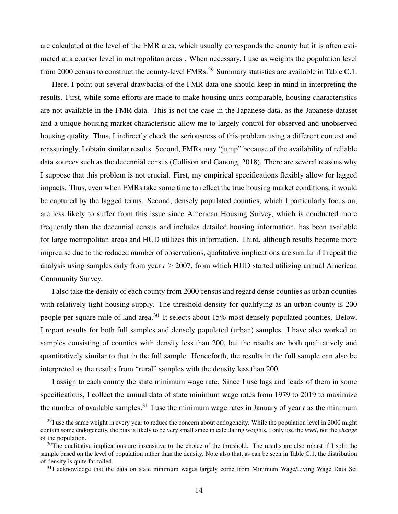are calculated at the level of the FMR area, which usually corresponds the county but it is often estimated at a coarser level in metropolitan areas . When necessary, I use as weights the population level from 2000 census to construct the county-level FMRs.<sup>29</sup> Summary statistics are available in Table C.1.

Here, I point out several drawbacks of the FMR data one should keep in mind in interpreting the results. First, while some efforts are made to make housing units comparable, housing characteristics are not available in the FMR data. This is not the case in the Japanese data, as the Japanese dataset and a unique housing market characteristic allow me to largely control for observed and unobserved housing quality. Thus, I indirectly check the seriousness of this problem using a different context and reassuringly, I obtain similar results. Second, FMRs may "jump" because of the availability of reliable data sources such as the decennial census (Collison and Ganong, 2018). There are several reasons why I suppose that this problem is not crucial. First, my empirical specifications flexibly allow for lagged impacts. Thus, even when FMRs take some time to reflect the true housing market conditions, it would be captured by the lagged terms. Second, densely populated counties, which I particularly focus on, are less likely to suffer from this issue since American Housing Survey, which is conducted more frequently than the decennial census and includes detailed housing information, has been available for large metropolitan areas and HUD utilizes this information. Third, although results become more imprecise due to the reduced number of observations, qualitative implications are similar if I repeat the analysis using samples only from year  $t \ge 2007$ , from which HUD started utilizing annual American Community Survey.

I also take the density of each county from 2000 census and regard dense counties as urban counties with relatively tight housing supply. The threshold density for qualifying as an urban county is 200 people per square mile of land area.<sup>30</sup> It selects about 15% most densely populated counties. Below, I report results for both full samples and densely populated (urban) samples. I have also worked on samples consisting of counties with density less than 200, but the results are both qualitatively and quantitatively similar to that in the full sample. Henceforth, the results in the full sample can also be interpreted as the results from "rural" samples with the density less than 200.

I assign to each county the state minimum wage rate. Since I use lags and leads of them in some specifications, I collect the annual data of state minimum wage rates from 1979 to 2019 to maximize the number of available samples.<sup>31</sup> I use the minimum wage rates in January of year *t* as the minimum

 $^{29}$ I use the same weight in every year to reduce the concern about endogeneity. While the population level in 2000 might contain some endogeneity, the bias is likely to be very small since in calculating weights, I only use the *level*, not the *change* of the population.

 $30$ The qualitative implications are insensitive to the choice of the threshold. The results are also robust if I split the sample based on the level of population rather than the density. Note also that, as can be seen in Table C.1, the distribution of density is quite fat-tailed.

 $31I$  acknowledge that the data on state minimum wages largely come from Minimum Wage/Living Wage Data Set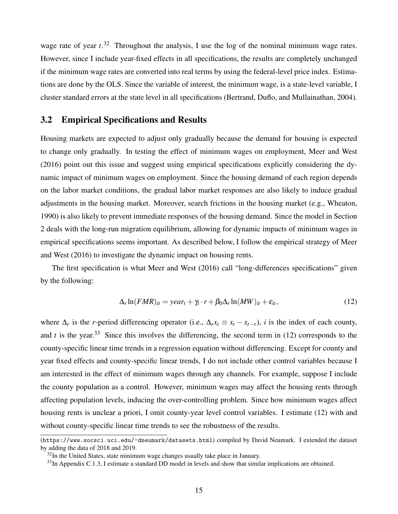wage rate of year *t*. <sup>32</sup> Throughout the analysis, I use the log of the nominal minimum wage rates. However, since I include year-fixed effects in all specifications, the results are completely unchanged if the minimum wage rates are converted into real terms by using the federal-level price index. Estimations are done by the OLS. Since the variable of interest, the minimum wage, is a state-level variable, I cluster standard errors at the state level in all specifications (Bertrand, Duflo, and Mullainathan, 2004).

## 3.2 Empirical Specifications and Results

Housing markets are expected to adjust only gradually because the demand for housing is expected to change only gradually. In testing the effect of minimum wages on employment, Meer and West (2016) point out this issue and suggest using empirical specifications explicitly considering the dynamic impact of minimum wages on employment. Since the housing demand of each region depends on the labor market conditions, the gradual labor market responses are also likely to induce gradual adjustments in the housing market. Moreover, search frictions in the housing market (e.g., Wheaton, 1990) is also likely to prevent immediate responses of the housing demand. Since the model in Section 2 deals with the long-run migration equilibrium, allowing for dynamic impacts of minimum wages in empirical specifications seems important. As described below, I follow the empirical strategy of Meer and West (2016) to investigate the dynamic impact on housing rents.

The first specification is what Meer and West (2016) call "long-differences specifications" given by the following:

$$
\Delta_r \ln(FMR)_{it} = year_t + \gamma_i \cdot r + \beta_0 \Delta_r \ln(MW)_{it} + \varepsilon_{it}, \qquad (12)
$$

where  $\Delta_r$  is the *r*-period differencing operator (i.e.,  $\Delta_r x_t \equiv x_t - x_{t-r}$ ), *i* is the index of each county, and  $t$  is the year.<sup>33</sup> Since this involves the differencing, the second term in (12) corresponds to the county-specific linear time trends in a regression equation without differencing. Except for county and year fixed effects and county-specific linear trends, I do not include other control variables because I am interested in the effect of minimum wages through any channels. For example, suppose I include the county population as a control. However, minimum wages may affect the housing rents through affecting population levels, inducing the over-controlling problem. Since how minimum wages affect housing rents is unclear a priori, I omit county-year level control variables. I estimate (12) with and without county-specific linear time trends to see the robustness of the results.

<sup>(</sup>https://www.socsci.uci.edu/~dneumark/datasets.html) compiled by David Neumark. I extended the dataset by adding the data of 2018 and 2019.

 $32$ In the United States, state minimum wage changes usually take place in January.

<sup>&</sup>lt;sup>33</sup>In Appendix C.1.3, I estimate a standard DD model in levels and show that similar implications are obtained.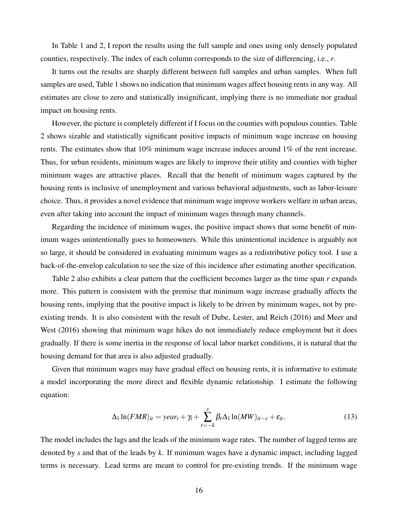In Table 1 and 2, I report the results using the full sample and ones using only densely populated counties, respectively. The index of each column corresponds to the size of differencing, i.e., *r*.

It turns out the results are sharply different between full samples and urban samples. When full samples are used, Table 1 shows no indication that minimum wages affect housing rents in any way. All estimates are close to zero and statistically insignificant, implying there is no immediate nor gradual impact on housing rents.

However, the picture is completely different if I focus on the counties with populous counties. Table 2 shows sizable and statistically significant positive impacts of minimum wage increase on housing rents. The estimates show that 10% minimum wage increase induces around 1% of the rent increase. Thus, for urban residents, minimum wages are likely to improve their utility and counties with higher minimum wages are attractive places. Recall that the benefit of minimum wages captured by the housing rents is inclusive of unemployment and various behavioral adjustments, such as labor-leisure choice. Thus, it provides a novel evidence that minimum wage improve workers welfare in urban areas, even after taking into account the impact of minimum wages through many channels.

Regarding the incidence of minimum wages, the positive impact shows that some benefit of minimum wages unintentionally goes to homeowners. While this unintentional incidence is arguably not so large, it should be considered in evaluating minimum wages as a redistributive policy tool. I use a back-of-the-envelop calculation to see the size of this incidence after estimating another specification.

Table 2 also exhibits a clear pattern that the coefficient becomes larger as the time span *r* expands more. This pattern is consistent with the premise that minimum wage increase gradually affects the housing rents, implying that the positive impact is likely to be driven by minimum wages, not by preexisting trends. It is also consistent with the result of Dube, Lester, and Reich (2016) and Meer and West (2016) showing that minimum wage hikes do not immediately reduce employment but it does gradually. If there is some inertia in the response of local labor market conditions, it is natural that the housing demand for that area is also adjusted gradually.

Given that minimum wages may have gradual effect on housing rents, it is informative to estimate a model incorporating the more direct and flexible dynamic relationship. I estimate the following equation:

$$
\Delta_1 \ln(FMR)_{it} = year_t + \gamma_i + \sum_{r=-k}^{s} \beta_r \Delta_1 \ln(MW)_{it-r} + \varepsilon_{it}.
$$
 (13)

The model includes the lags and the leads of the minimum wage rates. The number of lagged terms are denoted by *s* and that of the leads by *k*. If minimum wages have a dynamic impact, including lagged terms is necessary. Lead terms are meant to control for pre-existing trends. If the minimum wage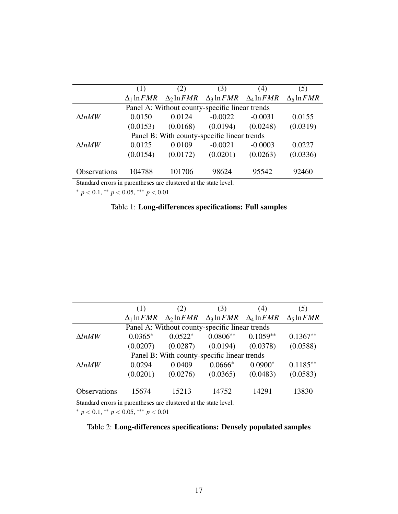|               | (1)                | (2)                | (3)                                            | (4)       | (5)                                 |
|---------------|--------------------|--------------------|------------------------------------------------|-----------|-------------------------------------|
|               | $\Delta_1 \ln FMR$ | $\Delta_2 \ln FMR$ | $\Delta_3 \ln FMR \quad \Delta_4 \ln FMR$      |           | $\Delta$ <sub>5</sub> ln <i>FMR</i> |
|               |                    |                    | Panel A: Without county-specific linear trends |           |                                     |
| $\Delta lnMW$ | 0.0150             | 0.0124             | $-0.0022$                                      | $-0.0031$ | 0.0155                              |
|               | (0.0153)           | (0.0168)           | (0.0194)                                       | (0.0248)  | (0.0319)                            |
|               |                    |                    | Panel B: With county-specific linear trends    |           |                                     |
| $\Delta lnMW$ | 0.0125             | 0.0109             | $-0.0021$                                      | $-0.0003$ | 0.0227                              |
|               | (0.0154)           | (0.0172)           | (0.0201)                                       | (0.0263)  | (0.0336)                            |
|               |                    |                    |                                                |           |                                     |
| Observations  | 104788             | 101706             | 98624                                          | 95542     | 92460                               |
|               |                    |                    |                                                |           |                                     |

Standard errors in parentheses are clustered at the state level.

<sup>∗</sup> *p* < 0.1, ∗∗ *p* < 0.05, ∗∗∗ *p* < 0.01

## Table 1: Long-differences specifications: Full samples

|               | (1)                | (2)                                            | (3)                                                      | (4)        | (5)                |
|---------------|--------------------|------------------------------------------------|----------------------------------------------------------|------------|--------------------|
|               | $\Delta_1 \ln FMR$ |                                                | $\Delta_2 \ln FMR$ $\Delta_3 \ln FMR$ $\Delta_4 \ln FMR$ |            | $\Delta_5 \ln FMR$ |
|               |                    | Panel A: Without county-specific linear trends |                                                          |            |                    |
| $\Delta lnMW$ | $0.0365*$          | $0.0522*$                                      | $0.0806**$                                               | $0.1059**$ | $0.1367**$         |
|               | (0.0207)           | (0.0287)                                       | (0.0194)                                                 | (0.0378)   | (0.0588)           |
|               |                    | Panel B: With county-specific linear trends    |                                                          |            |                    |
| $\Delta lnMW$ | 0.0294             | 0.0409                                         | $0.0666*$                                                | $0.0900*$  | $0.1185**$         |
|               | (0.0201)           | (0.0276)                                       | (0.0365)                                                 | (0.0483)   | (0.0583)           |
|               |                    |                                                |                                                          |            |                    |
| Observations  | 15674              | 15213                                          | 14752                                                    | 14291      | 13830              |

Standard errors in parentheses are clustered at the state level.

<sup>∗</sup> *p* < 0.1, ∗∗ *p* < 0.05, ∗∗∗ *p* < 0.01

## Table 2: Long-differences specifications: Densely populated samples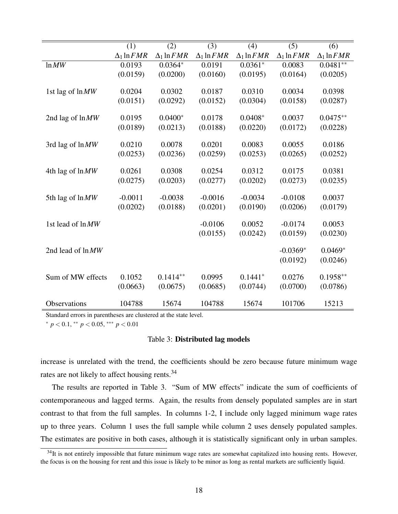|                     | (1)                | (2)                | (3)                | (4)                | (5)                | (6)                |
|---------------------|--------------------|--------------------|--------------------|--------------------|--------------------|--------------------|
|                     | $\Delta_1 \ln FMR$ | $\Delta_1 \ln FMR$ | $\Delta_1 \ln FMR$ | $\Delta_1 \ln FMR$ | $\Delta_1 \ln FMR$ | $\Delta_1 \ln FMR$ |
| ln MW               | 0.0193             | $0.0364*$          | 0.0191             | $0.0361*$          | 0.0083             | $0.0481**$         |
|                     | (0.0159)           | (0.0200)           | (0.0160)           | (0.0195)           | (0.0164)           | (0.0205)           |
|                     |                    |                    |                    |                    |                    |                    |
| 1st lag of lnMW     | 0.0204             | 0.0302             | 0.0187             | 0.0310             | 0.0034             | 0.0398             |
|                     | (0.0151)           | (0.0292)           | (0.0152)           | (0.0304)           | (0.0158)           | (0.0287)           |
| 2nd lag of $ln M W$ | 0.0195             | $0.0400*$          | 0.0178             | $0.0408*$          | 0.0037             | $0.0475**$         |
|                     | (0.0189)           | (0.0213)           | (0.0188)           | (0.0220)           | (0.0172)           | (0.0228)           |
|                     |                    |                    |                    |                    |                    |                    |
| 3rd lag of ln MW    | 0.0210             | 0.0078             | 0.0201             | 0.0083             | 0.0055             | 0.0186             |
|                     | (0.0253)           | (0.0236)           | (0.0259)           | (0.0253)           | (0.0265)           | (0.0252)           |
| 4th lag of ln MW    | 0.0261             | 0.0308             | 0.0254             | 0.0312             | 0.0175             | 0.0381             |
|                     | (0.0275)           | (0.0203)           | (0.0277)           | (0.0202)           | (0.0273)           | (0.0235)           |
|                     |                    |                    |                    |                    |                    |                    |
| 5th lag of ln MW    | $-0.0011$          | $-0.0038$          | $-0.0016$          | $-0.0034$          | $-0.0108$          | 0.0037             |
|                     | (0.0202)           | (0.0188)           | (0.0201)           | (0.0190)           | (0.0206)           | (0.0179)           |
|                     |                    |                    |                    |                    |                    |                    |
| 1st lead of lnMW    |                    |                    | $-0.0106$          | 0.0052             | $-0.0174$          | 0.0053             |
|                     |                    |                    | (0.0155)           | (0.0242)           | (0.0159)           | (0.0230)           |
| 2nd lead of lnMW    |                    |                    |                    |                    | $-0.0369*$         | $0.0469*$          |
|                     |                    |                    |                    |                    |                    |                    |
|                     |                    |                    |                    |                    | (0.0192)           | (0.0246)           |
| Sum of MW effects   | 0.1052             | $0.1414**$         | 0.0995             | $0.1441*$          | 0.0276             | $0.1958**$         |
|                     | (0.0663)           | (0.0675)           | (0.0685)           | (0.0744)           | (0.0700)           | (0.0786)           |
|                     |                    |                    |                    |                    |                    |                    |
| Observations        | 104788             | 15674              | 104788             | 15674              | 101706             | 15213              |

Standard errors in parentheses are clustered at the state level.

<sup>∗</sup> *p* < 0.1, ∗∗ *p* < 0.05, ∗∗∗ *p* < 0.01

### Table 3: Distributed lag models

increase is unrelated with the trend, the coefficients should be zero because future minimum wage rates are not likely to affect housing rents.<sup>34</sup>

The results are reported in Table 3. "Sum of MW effects" indicate the sum of coefficients of contemporaneous and lagged terms. Again, the results from densely populated samples are in start contrast to that from the full samples. In columns 1-2, I include only lagged minimum wage rates up to three years. Column 1 uses the full sample while column 2 uses densely populated samples. The estimates are positive in both cases, although it is statistically significant only in urban samples.

 $34$ It is not entirely impossible that future minimum wage rates are somewhat capitalized into housing rents. However, the focus is on the housing for rent and this issue is likely to be minor as long as rental markets are sufficiently liquid.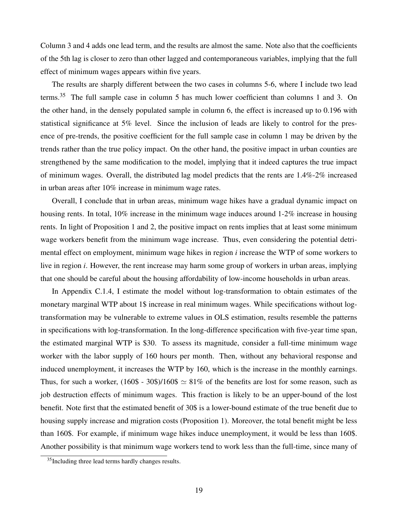Column 3 and 4 adds one lead term, and the results are almost the same. Note also that the coefficients of the 5th lag is closer to zero than other lagged and contemporaneous variables, implying that the full effect of minimum wages appears within five years.

The results are sharply different between the two cases in columns 5-6, where I include two lead terms.<sup>35</sup> The full sample case in column 5 has much lower coefficient than columns 1 and 3. On the other hand, in the densely populated sample in column 6, the effect is increased up to 0.196 with statistical significance at 5% level. Since the inclusion of leads are likely to control for the presence of pre-trends, the positive coefficient for the full sample case in column 1 may be driven by the trends rather than the true policy impact. On the other hand, the positive impact in urban counties are strengthened by the same modification to the model, implying that it indeed captures the true impact of minimum wages. Overall, the distributed lag model predicts that the rents are 1.4%-2% increased in urban areas after 10% increase in minimum wage rates.

Overall, I conclude that in urban areas, minimum wage hikes have a gradual dynamic impact on housing rents. In total, 10% increase in the minimum wage induces around 1-2% increase in housing rents. In light of Proposition 1 and 2, the positive impact on rents implies that at least some minimum wage workers benefit from the minimum wage increase. Thus, even considering the potential detrimental effect on employment, minimum wage hikes in region *i* increase the WTP of some workers to live in region *i*. However, the rent increase may harm some group of workers in urban areas, implying that one should be careful about the housing affordability of low-income households in urban areas.

In Appendix C.1.4, I estimate the model without log-transformation to obtain estimates of the monetary marginal WTP about 1\$ increase in real minimum wages. While specifications without logtransformation may be vulnerable to extreme values in OLS estimation, results resemble the patterns in specifications with log-transformation. In the long-difference specification with five-year time span, the estimated marginal WTP is \$30. To assess its magnitude, consider a full-time minimum wage worker with the labor supply of 160 hours per month. Then, without any behavioral response and induced unemployment, it increases the WTP by 160, which is the increase in the monthly earnings. Thus, for such a worker,  $(160\$  - 30\\$)/160\\$  $\simeq 81\%$  of the benefits are lost for some reason, such as job destruction effects of minimum wages. This fraction is likely to be an upper-bound of the lost benefit. Note first that the estimated benefit of 30\$ is a lower-bound estimate of the true benefit due to housing supply increase and migration costs (Proposition 1). Moreover, the total benefit might be less than 160\$. For example, if minimum wage hikes induce unemployment, it would be less than 160\$. Another possibility is that minimum wage workers tend to work less than the full-time, since many of

<sup>35</sup>Including three lead terms hardly changes results.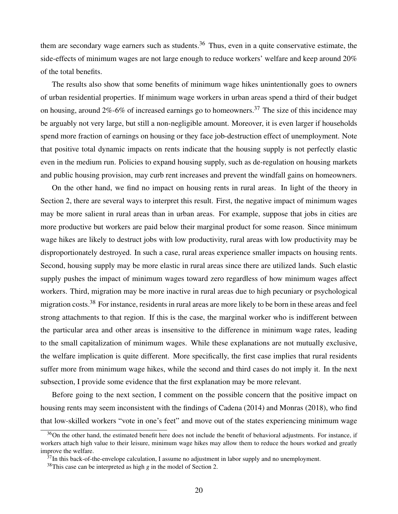them are secondary wage earners such as students.<sup>36</sup> Thus, even in a quite conservative estimate, the side-effects of minimum wages are not large enough to reduce workers' welfare and keep around 20% of the total benefits.

The results also show that some benefits of minimum wage hikes unintentionally goes to owners of urban residential properties. If minimum wage workers in urban areas spend a third of their budget on housing, around  $2\%$ -6% of increased earnings go to homeowners.<sup>37</sup> The size of this incidence may be arguably not very large, but still a non-negligible amount. Moreover, it is even larger if households spend more fraction of earnings on housing or they face job-destruction effect of unemployment. Note that positive total dynamic impacts on rents indicate that the housing supply is not perfectly elastic even in the medium run. Policies to expand housing supply, such as de-regulation on housing markets and public housing provision, may curb rent increases and prevent the windfall gains on homeowners.

On the other hand, we find no impact on housing rents in rural areas. In light of the theory in Section 2, there are several ways to interpret this result. First, the negative impact of minimum wages may be more salient in rural areas than in urban areas. For example, suppose that jobs in cities are more productive but workers are paid below their marginal product for some reason. Since minimum wage hikes are likely to destruct jobs with low productivity, rural areas with low productivity may be disproportionately destroyed. In such a case, rural areas experience smaller impacts on housing rents. Second, housing supply may be more elastic in rural areas since there are utilized lands. Such elastic supply pushes the impact of minimum wages toward zero regardless of how minimum wages affect workers. Third, migration may be more inactive in rural areas due to high pecuniary or psychological migration costs.<sup>38</sup> For instance, residents in rural areas are more likely to be born in these areas and feel strong attachments to that region. If this is the case, the marginal worker who is indifferent between the particular area and other areas is insensitive to the difference in minimum wage rates, leading to the small capitalization of minimum wages. While these explanations are not mutually exclusive, the welfare implication is quite different. More specifically, the first case implies that rural residents suffer more from minimum wage hikes, while the second and third cases do not imply it. In the next subsection, I provide some evidence that the first explanation may be more relevant.

Before going to the next section, I comment on the possible concern that the positive impact on housing rents may seem inconsistent with the findings of Cadena (2014) and Monras (2018), who find that low-skilled workers "vote in one's feet" and move out of the states experiencing minimum wage

 $36$ On the other hand, the estimated benefit here does not include the benefit of behavioral adjustments. For instance, if workers attach high value to their leisure, minimum wage hikes may allow them to reduce the hours worked and greatly improve the welfare.

 $37$ In this back-of-the-envelope calculation, I assume no adjustment in labor supply and no unemployment.

<sup>38</sup>This case can be interpreted as high *g* in the model of Section 2.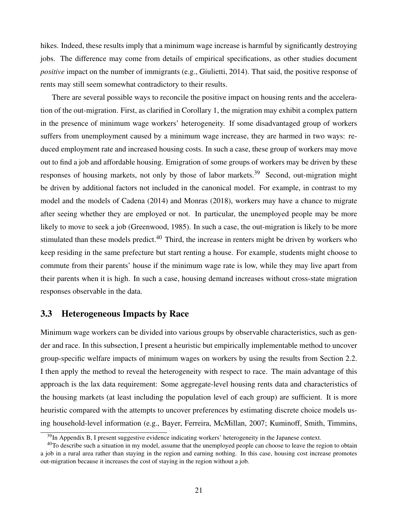hikes. Indeed, these results imply that a minimum wage increase is harmful by significantly destroying jobs. The difference may come from details of empirical specifications, as other studies document *positive* impact on the number of immigrants (e.g., Giulietti, 2014). That said, the positive response of rents may still seem somewhat contradictory to their results.

There are several possible ways to reconcile the positive impact on housing rents and the acceleration of the out-migration. First, as clarified in Corollary 1, the migration may exhibit a complex pattern in the presence of minimum wage workers' heterogeneity. If some disadvantaged group of workers suffers from unemployment caused by a minimum wage increase, they are harmed in two ways: reduced employment rate and increased housing costs. In such a case, these group of workers may move out to find a job and affordable housing. Emigration of some groups of workers may be driven by these responses of housing markets, not only by those of labor markets.<sup>39</sup> Second, out-migration might be driven by additional factors not included in the canonical model. For example, in contrast to my model and the models of Cadena (2014) and Monras (2018), workers may have a chance to migrate after seeing whether they are employed or not. In particular, the unemployed people may be more likely to move to seek a job (Greenwood, 1985). In such a case, the out-migration is likely to be more stimulated than these models predict.<sup>40</sup> Third, the increase in renters might be driven by workers who keep residing in the same prefecture but start renting a house. For example, students might choose to commute from their parents' house if the minimum wage rate is low, while they may live apart from their parents when it is high. In such a case, housing demand increases without cross-state migration responses observable in the data.

## 3.3 Heterogeneous Impacts by Race

Minimum wage workers can be divided into various groups by observable characteristics, such as gender and race. In this subsection, I present a heuristic but empirically implementable method to uncover group-specific welfare impacts of minimum wages on workers by using the results from Section 2.2. I then apply the method to reveal the heterogeneity with respect to race. The main advantage of this approach is the lax data requirement: Some aggregate-level housing rents data and characteristics of the housing markets (at least including the population level of each group) are sufficient. It is more heuristic compared with the attempts to uncover preferences by estimating discrete choice models using household-level information (e.g., Bayer, Ferreira, McMillan, 2007; Kuminoff, Smith, Timmins,

 $39$ In Appendix B, I present suggestive evidence indicating workers' heterogeneity in the Japanese context.

 $40$ To describe such a situation in my model, assume that the unemployed people can choose to leave the region to obtain a job in a rural area rather than staying in the region and earning nothing. In this case, housing cost increase promotes out-migration because it increases the cost of staying in the region without a job.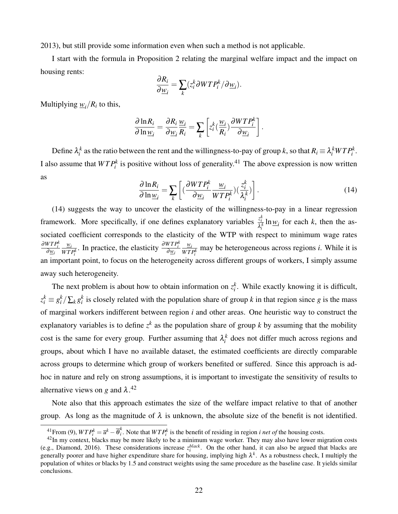2013), but still provide some information even when such a method is not applicable.

I start with the formula in Proposition 2 relating the marginal welfare impact and the impact on housing rents:

$$
\frac{\partial R_i}{\partial \underline{w}_i} = \sum_k (z_i^k \partial W T P_i^k / \partial \underline{w}_i).
$$

Multiplying  $\underline{w}_i/R_i$  to this,

$$
\frac{\partial \ln R_i}{\partial \ln \underline{w}_i} = \frac{\partial R_i}{\partial \underline{w}_i} \frac{\underline{w}_i}{R_i} = \sum_k \left[ z_i^k \left( \frac{\underline{w}_i}{R_i} \right) \frac{\partial WTP_i^k}{\partial \underline{w}_i} \right].
$$

Define  $\lambda_i^k$  as the ratio between the rent and the willingness-to-pay of group *k*, so that  $R_i \equiv \lambda_i^k W T P_i^k$ . I also assume that  $WTP_i^k$  is positive without loss of generality.<sup>41</sup> The above expression is now written as

$$
\frac{\partial \ln R_i}{\partial \ln \underline{w}_i} = \sum_k \left[ \left( \frac{\partial WTP_i^k}{\partial \underline{w}_i} \frac{\underline{w}_i}{WTP_i^k} \right) \left( \frac{z_i^k}{\lambda_i^k} \right) \right]. \tag{14}
$$

(14) suggests the way to uncover the elasticity of the willingness-to-pay in a linear regression framework. More specifically, if one defines explanatory variables  $\frac{z_i^k}{\lambda_i^k} \ln \underline{w}_i$  for each *k*, then the associated coefficient corresponds to the elasticity of the WTP with respect to minimum wage rates <sup>∂</sup>*W T P<sup>k</sup> i* <sup>∂</sup>*w<sup>i</sup> wi*  $\frac{w_i}{WTP_i^k}$ . In practice, the elasticity  $\frac{\partial WTP_i^k}{\partial w_i}$ *wi*  $\frac{w_i}{WTP_i^k}$  may be heterogeneous across regions *i*. While it is an important point, to focus on the heterogeneity across different groups of workers, I simply assume away such heterogeneity.

The next problem is about how to obtain information on  $z_i^k$ . While exactly knowing it is difficult,  $z_i^k \equiv g_i^k / \sum_k g_i^k$  is closely related with the population share of group *k* in that region since *g* is the mass of marginal workers indifferent between region *i* and other areas. One heuristic way to construct the explanatory variables is to define  $z^k$  as the population share of group  $k$  by assuming that the mobility cost is the same for every group. Further assuming that  $\lambda_i^k$  does not differ much across regions and groups, about which I have no available dataset, the estimated coefficients are directly comparable across groups to determine which group of workers benefited or suffered. Since this approach is adhoc in nature and rely on strong assumptions, it is important to investigate the sensitivity of results to alternative views on *g* and  $\lambda$ .<sup>42</sup>

Note also that this approach estimates the size of the welfare impact relative to that of another group. As long as the magnitude of  $\lambda$  is unknown, the absolute size of the benefit is not identified.

 $^{41}$ From (9),  $WTP_i^k = \overline{u}^k - \overline{\theta}_i^k$  $i<sub>i</sub>$ . Note that  $WTP_i^k$  is the benefit of residing in region *i net of* the housing costs.

 $42$ In my context, blacks may be more likely to be a minimum wage worker. They may also have lower migration costs (e.g., Diamond, 2016). These considerations increase  $z_i^{black}$ . On the other hand, it can also be argued that blacks are generally poorer and have higher expenditure share for housing, implying high  $\lambda^k$ . As a robustness check, I multiply the population of whites or blacks by 1.5 and construct weights using the same procedure as the baseline case. It yields similar conclusions.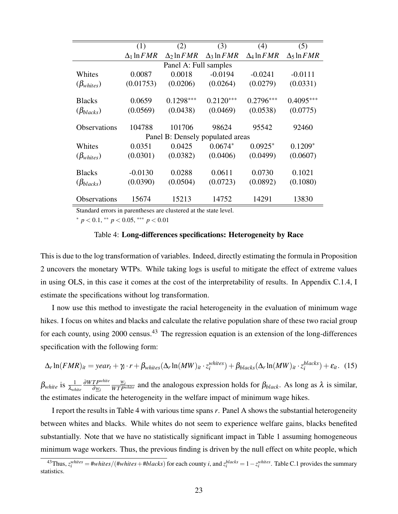|                     | (1)                | (2)                   | (3)                              | (4)                | (5)                                 |
|---------------------|--------------------|-----------------------|----------------------------------|--------------------|-------------------------------------|
|                     | $\Delta_1 \ln FMR$ | $\Delta_2 \ln FMR$    | $\Delta$ 3 ln $FMR$              | $\Delta_4 \ln FMR$ | $\Delta$ <sub>5</sub> ln <i>FMR</i> |
|                     |                    | Panel A: Full samples |                                  |                    |                                     |
| Whites              | 0.0087             | 0.0018                | $-0.0194$                        | $-0.0241$          | $-0.0111$                           |
| $(\beta_{whites})$  | (0.01753)          | (0.0206)              | (0.0264)                         | (0.0279)           | (0.0331)                            |
| <b>Blacks</b>       | 0.0659             | $0.1298***$           | $0.2120***$                      | $0.2796***$        | $0.4095***$                         |
| $(\beta_{blacks})$  | (0.0569)           | (0.0438)              | (0.0469)                         | (0.0538)           | (0.0775)                            |
| <b>Observations</b> | 104788             | 101706                | 98624                            | 95542              | 92460                               |
|                     |                    |                       | Panel B: Densely populated areas |                    |                                     |
| Whites              | 0.0351             | 0.0425                | $0.0674*$                        | $0.0925*$          | $0.1209*$                           |
| $(\beta_{whites})$  | (0.0301)           | (0.0382)              | (0.0406)                         | (0.0499)           | (0.0607)                            |
| <b>Blacks</b>       | $-0.0130$          | 0.0288                | 0.0611                           | 0.0730             | 0.1021                              |
| $(\beta_{blacks})$  | (0.0390)           | (0.0504)              | (0.0723)                         | (0.0892)           | (0.1080)                            |
| <b>Observations</b> | 15674              | 15213                 | 14752                            | 14291              | 13830                               |

Standard errors in parentheses are clustered at the state level.

<sup>∗</sup> *p* < 0.1, ∗∗ *p* < 0.05, ∗∗∗ *p* < 0.01

#### Table 4: Long-differences specifications: Heterogeneity by Race

This is due to the log transformation of variables. Indeed, directly estimating the formula in Proposition 2 uncovers the monetary WTPs. While taking logs is useful to mitigate the effect of extreme values in using OLS, in this case it comes at the cost of the interpretability of results. In Appendix C.1.4, I estimate the specifications without log transformation.

I now use this method to investigate the racial heterogeneity in the evaluation of minimum wage hikes. I focus on whites and blacks and calculate the relative population share of these two racial group for each county, using 2000 census.<sup>43</sup> The regression equation is an extension of the long-differences specification with the following form:

$$
\Delta_r \ln(FMR)_{it} = year_t + \gamma_i \cdot r + \beta_{whites} (\Delta_r \ln(MW)_{it} \cdot z_i^{whites}) + \beta_{blacks} (\Delta_r \ln(MW)_{it} \cdot z_i^{blacks}) + \varepsilon_{it}.
$$
 (15)

 $\beta_{white}$  is  $\frac{1}{\lambda_{white}}$ <sup>∂</sup>*W T Pwhite* <sup>∂</sup>*w<sup>i</sup>*  $\frac{w_i}{W T P^{white}}$  and the analogous expression holds for  $\beta_{black}$ . As long as  $\lambda$  is similar, the estimates indicate the heterogeneity in the welfare impact of minimum wage hikes.

I report the results in Table 4 with various time spans *r*. Panel A shows the substantial heterogeneity between whites and blacks. While whites do not seem to experience welfare gains, blacks benefited substantially. Note that we have no statistically significant impact in Table 1 assuming homogeneous minimum wage workers. Thus, the previous finding is driven by the null effect on white people, which

 $\frac{43}{i}$ Thus,  $z_i^{whites} = \frac{\#whites}{(\#whites + \#blacks)}$  for each county *i*, and  $z_i^{blacks} = 1 - z_i^{whites}$ . Table C.1 provides the summary statistics.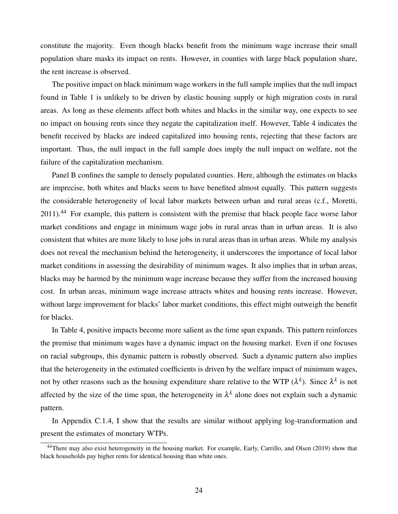constitute the majority. Even though blacks benefit from the minimum wage increase their small population share masks its impact on rents. However, in counties with large black population share, the rent increase is observed.

The positive impact on black minimum wage workers in the full sample implies that the null impact found in Table 1 is unlikely to be driven by elastic housing supply or high migration costs in rural areas. As long as these elements affect both whites and blacks in the similar way, one expects to see no impact on housing rents since they negate the capitalization itself. However, Table 4 indicates the benefit received by blacks are indeed capitalized into housing rents, rejecting that these factors are important. Thus, the null impact in the full sample does imply the null impact on welfare, not the failure of the capitalization mechanism.

Panel B confines the sample to densely populated counties. Here, although the estimates on blacks are imprecise, both whites and blacks seem to have benefited almost equally. This pattern suggests the considerable heterogeneity of local labor markets between urban and rural areas (c.f., Moretti, 2011).<sup>44</sup> For example, this pattern is consistent with the premise that black people face worse labor market conditions and engage in minimum wage jobs in rural areas than in urban areas. It is also consistent that whites are more likely to lose jobs in rural areas than in urban areas. While my analysis does not reveal the mechanism behind the heterogeneity, it underscores the importance of local labor market conditions in assessing the desirability of minimum wages. It also implies that in urban areas, blacks may be harmed by the minimum wage increase because they suffer from the increased housing cost. In urban areas, minimum wage increase attracts whites and housing rents increase. However, without large improvement for blacks' labor market conditions, this effect might outweigh the benefit for blacks.

In Table 4, positive impacts become more salient as the time span expands. This pattern reinforces the premise that minimum wages have a dynamic impact on the housing market. Even if one focuses on racial subgroups, this dynamic pattern is robustly observed. Such a dynamic pattern also implies that the heterogeneity in the estimated coefficients is driven by the welfare impact of minimum wages, not by other reasons such as the housing expenditure share relative to the WTP  $(\lambda^k)$ . Since  $\lambda^k$  is not affected by the size of the time span, the heterogeneity in  $\lambda^k$  alone does not explain such a dynamic pattern.

In Appendix C.1.4, I show that the results are similar without applying log-transformation and present the estimates of monetary WTPs.

<sup>44</sup>There may also exist heterogeneity in the housing market. For example, Early, Carrillo, and Olsen (2019) show that black households pay higher rents for identical housing than white ones.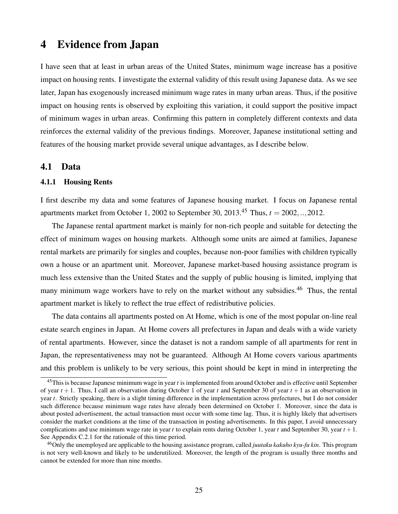## 4 Evidence from Japan

I have seen that at least in urban areas of the United States, minimum wage increase has a positive impact on housing rents. I investigate the external validity of this result using Japanese data. As we see later, Japan has exogenously increased minimum wage rates in many urban areas. Thus, if the positive impact on housing rents is observed by exploiting this variation, it could support the positive impact of minimum wages in urban areas. Confirming this pattern in completely different contexts and data reinforces the external validity of the previous findings. Moreover, Japanese institutional setting and features of the housing market provide several unique advantages, as I describe below.

### 4.1 Data

#### 4.1.1 Housing Rents

I first describe my data and some features of Japanese housing market. I focus on Japanese rental apartments market from October 1, 2002 to September 30, 2013.<sup>45</sup> Thus,  $t = 2002,..,2012$ .

The Japanese rental apartment market is mainly for non-rich people and suitable for detecting the effect of minimum wages on housing markets. Although some units are aimed at families, Japanese rental markets are primarily for singles and couples, because non-poor families with children typically own a house or an apartment unit. Moreover, Japanese market-based housing assistance program is much less extensive than the United States and the supply of public housing is limited, implying that many minimum wage workers have to rely on the market without any subsidies.<sup>46</sup> Thus, the rental apartment market is likely to reflect the true effect of redistributive policies.

The data contains all apartments posted on At Home, which is one of the most popular on-line real estate search engines in Japan. At Home covers all prefectures in Japan and deals with a wide variety of rental apartments. However, since the dataset is not a random sample of all apartments for rent in Japan, the representativeness may not be guaranteed. Although At Home covers various apartments and this problem is unlikely to be very serious, this point should be kept in mind in interpreting the

<sup>45</sup>This is because Japanese minimum wage in year *t* is implemented from around October and is effective until September of year  $t + 1$ . Thus, I call an observation during October 1 of year t and September 30 of year  $t + 1$  as an observation in year *t*. Strictly speaking, there is a slight timing difference in the implementation across prefectures, but I do not consider such difference because minimum wage rates have already been determined on October 1. Moreover, since the data is about posted advertisement, the actual transaction must occur with some time lag. Thus, it is highly likely that advertisers consider the market conditions at the time of the transaction in posting advertisements. In this paper, I avoid unnecessary complications and use minimum wage rate in year  $t$  to explain rents during October 1, year  $t$  and September 30, year  $t + 1$ . See Appendix C.2.1 for the rationale of this time period.

<sup>46</sup>Only the unemployed are applicable to the housing assistance program, called *juutaku kakuho kyu-fu kin*. This program is not very well-known and likely to be underutilized. Moreover, the length of the program is usually three months and cannot be extended for more than nine months.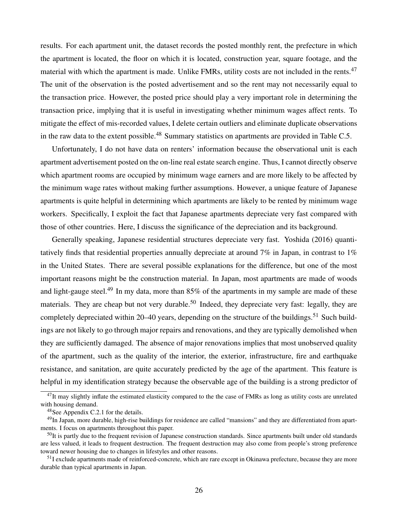results. For each apartment unit, the dataset records the posted monthly rent, the prefecture in which the apartment is located, the floor on which it is located, construction year, square footage, and the material with which the apartment is made. Unlike FMRs, utility costs are not included in the rents.<sup>47</sup> The unit of the observation is the posted advertisement and so the rent may not necessarily equal to the transaction price. However, the posted price should play a very important role in determining the transaction price, implying that it is useful in investigating whether minimum wages affect rents. To mitigate the effect of mis-recorded values, I delete certain outliers and eliminate duplicate observations in the raw data to the extent possible.<sup>48</sup> Summary statistics on apartments are provided in Table C.5.

Unfortunately, I do not have data on renters' information because the observational unit is each apartment advertisement posted on the on-line real estate search engine. Thus, I cannot directly observe which apartment rooms are occupied by minimum wage earners and are more likely to be affected by the minimum wage rates without making further assumptions. However, a unique feature of Japanese apartments is quite helpful in determining which apartments are likely to be rented by minimum wage workers. Specifically, I exploit the fact that Japanese apartments depreciate very fast compared with those of other countries. Here, I discuss the significance of the depreciation and its background.

Generally speaking, Japanese residential structures depreciate very fast. Yoshida (2016) quantitatively finds that residential properties annually depreciate at around 7% in Japan, in contrast to 1% in the United States. There are several possible explanations for the difference, but one of the most important reasons might be the construction material. In Japan, most apartments are made of woods and light-gauge steel.<sup>49</sup> In my data, more than  $85\%$  of the apartments in my sample are made of these materials. They are cheap but not very durable.<sup>50</sup> Indeed, they depreciate very fast: legally, they are completely depreciated within 20–40 years, depending on the structure of the buildings.<sup>51</sup> Such buildings are not likely to go through major repairs and renovations, and they are typically demolished when they are sufficiently damaged. The absence of major renovations implies that most unobserved quality of the apartment, such as the quality of the interior, the exterior, infrastructure, fire and earthquake resistance, and sanitation, are quite accurately predicted by the age of the apartment. This feature is helpful in my identification strategy because the observable age of the building is a strong predictor of

 $47$ It may slightly inflate the estimated elasticity compared to the the case of FMRs as long as utility costs are unrelated with housing demand.

<sup>48</sup>See Appendix C.2.1 for the details.

 $^{49}$ In Japan, more durable, high-rise buildings for residence are called "mansions" and they are differentiated from apartments. I focus on apartments throughout this paper.

 $50$ It is partly due to the frequent revision of Japanese construction standards. Since apartments built under old standards are less valued, it leads to frequent destruction. The frequent destruction may also come from people's strong preference toward newer housing due to changes in lifestyles and other reasons.

<sup>&</sup>lt;sup>51</sup>I exclude apartments made of reinforced-concrete, which are rare except in Okinawa prefecture, because they are more durable than typical apartments in Japan.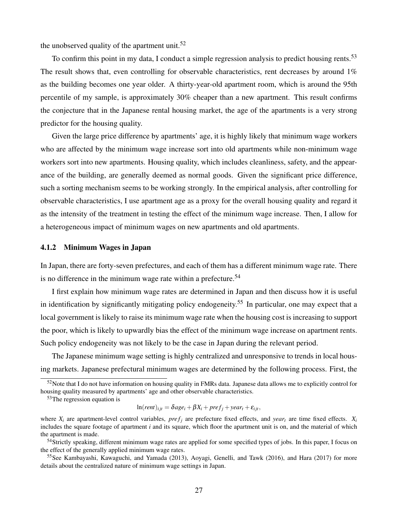the unobserved quality of the apartment unit.<sup>52</sup>

To confirm this point in my data, I conduct a simple regression analysis to predict housing rents.<sup>53</sup> The result shows that, even controlling for observable characteristics, rent decreases by around 1% as the building becomes one year older. A thirty-year-old apartment room, which is around the 95th percentile of my sample, is approximately 30% cheaper than a new apartment. This result confirms the conjecture that in the Japanese rental housing market, the age of the apartments is a very strong predictor for the housing quality.

Given the large price difference by apartments' age, it is highly likely that minimum wage workers who are affected by the minimum wage increase sort into old apartments while non-minimum wage workers sort into new apartments. Housing quality, which includes cleanliness, safety, and the appearance of the building, are generally deemed as normal goods. Given the significant price difference, such a sorting mechanism seems to be working strongly. In the empirical analysis, after controlling for observable characteristics, I use apartment age as a proxy for the overall housing quality and regard it as the intensity of the treatment in testing the effect of the minimum wage increase. Then, I allow for a heterogeneous impact of minimum wages on new apartments and old apartments.

#### 4.1.2 Minimum Wages in Japan

In Japan, there are forty-seven prefectures, and each of them has a different minimum wage rate. There is no difference in the minimum wage rate within a prefecture.<sup>54</sup>

I first explain how minimum wage rates are determined in Japan and then discuss how it is useful in identification by significantly mitigating policy endogeneity.<sup>55</sup> In particular, one may expect that a local government is likely to raise its minimum wage rate when the housing cost is increasing to support the poor, which is likely to upwardly bias the effect of the minimum wage increase on apartment rents. Such policy endogeneity was not likely to be the case in Japan during the relevant period.

The Japanese minimum wage setting is highly centralized and unresponsive to trends in local housing markets. Japanese prefectural minimum wages are determined by the following process. First, the

 $53$ The regression equation is

$$
\ln(\text{rent})_{ijt} = \delta age_i + \beta X_i + \text{pref}_j + \text{year}_t + \varepsilon_{ijt},
$$

<sup>54</sup>Strictly speaking, different minimum wage rates are applied for some specified types of jobs. In this paper, I focus on the effect of the generally applied minimum wage rates.

<sup>55</sup>See Kambayashi, Kawaguchi, and Yamada (2013), Aoyagi, Genelli, and Tawk (2016), and Hara (2017) for more details about the centralized nature of minimum wage settings in Japan.

 $52$ Note that I do not have information on housing quality in FMRs data. Japanese data allows me to explicitly control for housing quality measured by apartments' age and other observable characteristics.

where  $X_i$  are apartment-level control variables,  $pref_i$  are prefecture fixed effects, and *year*<sub>*t*</sub> are time fixed effects.  $X_i$ includes the square footage of apartment *i* and its square, which floor the apartment unit is on, and the material of which the apartment is made.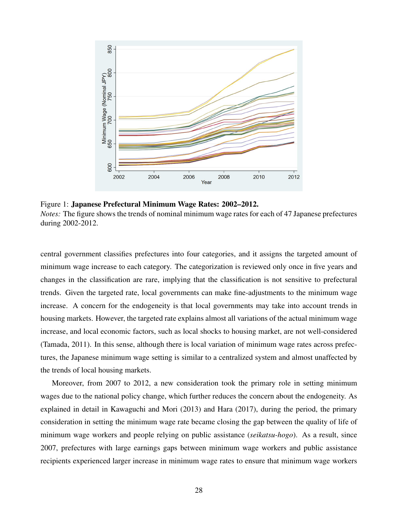

Figure 1: Japanese Prefectural Minimum Wage Rates: 2002–2012. *Notes:* The figure shows the trends of nominal minimum wage rates for each of 47 Japanese prefectures during 2002-2012.

central government classifies prefectures into four categories, and it assigns the targeted amount of minimum wage increase to each category. The categorization is reviewed only once in five years and changes in the classification are rare, implying that the classification is not sensitive to prefectural trends. Given the targeted rate, local governments can make fine-adjustments to the minimum wage increase. A concern for the endogeneity is that local governments may take into account trends in housing markets. However, the targeted rate explains almost all variations of the actual minimum wage increase, and local economic factors, such as local shocks to housing market, are not well-considered (Tamada, 2011). In this sense, although there is local variation of minimum wage rates across prefectures, the Japanese minimum wage setting is similar to a centralized system and almost unaffected by the trends of local housing markets.

Moreover, from 2007 to 2012, a new consideration took the primary role in setting minimum wages due to the national policy change, which further reduces the concern about the endogeneity. As explained in detail in Kawaguchi and Mori (2013) and Hara (2017), during the period, the primary consideration in setting the minimum wage rate became closing the gap between the quality of life of minimum wage workers and people relying on public assistance (*seikatsu-hogo*). As a result, since 2007, prefectures with large earnings gaps between minimum wage workers and public assistance recipients experienced larger increase in minimum wage rates to ensure that minimum wage workers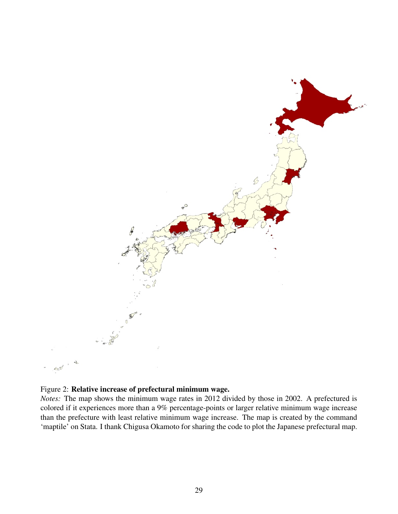

### Figure 2: Relative increase of prefectural minimum wage.

*Notes:* The map shows the minimum wage rates in 2012 divided by those in 2002. A prefectured is colored if it experiences more than a 9% percentage-points or larger relative minimum wage increase than the prefecture with least relative minimum wage increase. The map is created by the command 'maptile' on Stata. I thank Chigusa Okamoto for sharing the code to plot the Japanese prefectural map.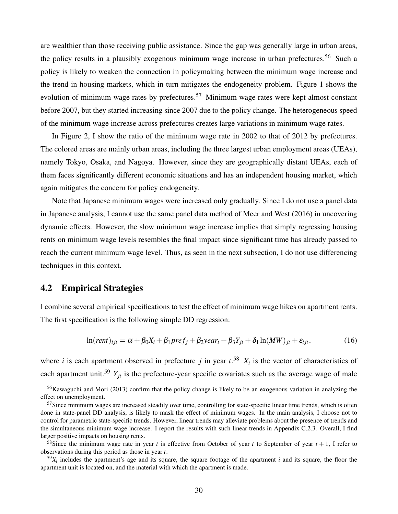are wealthier than those receiving public assistance. Since the gap was generally large in urban areas, the policy results in a plausibly exogenous minimum wage increase in urban prefectures.<sup>56</sup> Such a policy is likely to weaken the connection in policymaking between the minimum wage increase and the trend in housing markets, which in turn mitigates the endogeneity problem. Figure 1 shows the evolution of minimum wage rates by prefectures.<sup>57</sup> Minimum wage rates were kept almost constant before 2007, but they started increasing since 2007 due to the policy change. The heterogeneous speed of the minimum wage increase across prefectures creates large variations in minimum wage rates.

In Figure 2, I show the ratio of the minimum wage rate in 2002 to that of 2012 by prefectures. The colored areas are mainly urban areas, including the three largest urban employment areas (UEAs), namely Tokyo, Osaka, and Nagoya. However, since they are geographically distant UEAs, each of them faces significantly different economic situations and has an independent housing market, which again mitigates the concern for policy endogeneity.

Note that Japanese minimum wages were increased only gradually. Since I do not use a panel data in Japanese analysis, I cannot use the same panel data method of Meer and West (2016) in uncovering dynamic effects. However, the slow minimum wage increase implies that simply regressing housing rents on minimum wage levels resembles the final impact since significant time has already passed to reach the current minimum wage level. Thus, as seen in the next subsection, I do not use differencing techniques in this context.

## 4.2 Empirical Strategies

I combine several empirical specifications to test the effect of minimum wage hikes on apartment rents. The first specification is the following simple DD regression:

$$
\ln(rent)_{ijt} = \alpha + \beta_0 X_i + \beta_1 pref_j + \beta_2 year_t + \beta_3 Y_{jt} + \delta_1 \ln(MW)_{jt} + \varepsilon_{ijt},
$$
\n(16)

where *i* is each apartment observed in prefecture *j* in year  $t^{58}$ .  $X_i$  is the vector of characteristics of each apartment unit.<sup>59</sup>  $Y_{it}$  is the prefecture-year specific covariates such as the average wage of male

<sup>56</sup>Kawaguchi and Mori (2013) confirm that the policy change is likely to be an exogenous variation in analyzing the effect on unemployment.

 $57$ Since minimum wages are increased steadily over time, controlling for state-specific linear time trends, which is often done in state-panel DD analysis, is likely to mask the effect of minimum wages. In the main analysis, I choose not to control for parametric state-specific trends. However, linear trends may alleviate problems about the presence of trends and the simultaneous minimum wage increase. I report the results with such linear trends in Appendix C.2.3. Overall, I find larger positive impacts on housing rents.

<sup>&</sup>lt;sup>58</sup>Since the minimum wage rate in year *t* is effective from October of year *t* to September of year  $t + 1$ , I refer to observations during this period as those in year *t*.

 $59X_i$  includes the apartment's age and its square, the square footage of the apartment *i* and its square, the floor the apartment unit is located on, and the material with which the apartment is made.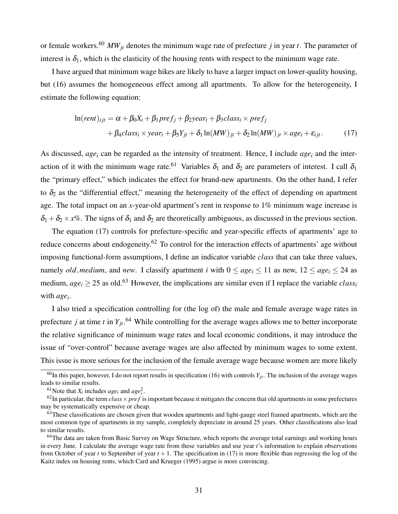or female workers.<sup>60</sup> *MWjt* denotes the minimum wage rate of prefecture *j* in year *t*. The parameter of interest is  $\delta_1$ , which is the elasticity of the housing rents with respect to the minimum wage rate.

I have argued that minimum wage hikes are likely to have a larger impact on lower-quality housing, but (16) assumes the homogeneous effect among all apartments. To allow for the heterogeneity, I estimate the following equation:

$$
\ln(\text{rent})_{ijt} = \alpha + \beta_0 X_i + \beta_1 \text{pref}_j + \beta_2 \text{year}_t + \beta_3 \text{class}_i \times \text{pref}_j
$$
  
+  $\beta_4 \text{class}_i \times \text{year}_t + \beta_5 Y_{jt} + \delta_1 \ln(MW)_{jt} + \delta_2 \ln(MW)_{jt} \times \text{age}_i + \varepsilon_{ijt}.$  (17)

As discussed, *age<sup>i</sup>* can be regarded as the intensity of treatment. Hence, I include *age<sup>i</sup>* and the interaction of it with the minimum wage rate.<sup>61</sup> Variables  $\delta_1$  and  $\delta_2$  are parameters of interest. I call  $\delta_1$ the "primary effect," which indicates the effect for brand-new apartments. On the other hand, I refer to  $\delta_2$  as the "differential effect," meaning the heterogeneity of the effect of depending on apartment age. The total impact on an *x*-year-old apartment's rent in response to 1% minimum wage increase is  $\delta_1 + \delta_2 \times x\%$ . The signs of  $\delta_1$  and  $\delta_2$  are theoretically ambiguous, as discussed in the previous section.

The equation (17) controls for prefecture-specific and year-specific effects of apartments' age to reduce concerns about endogeneity.<sup>62</sup> To control for the interaction effects of apartments' age without imposing functional-form assumptions, I define an indicator variable *class* that can take three values, namely *old*, *medium*, and *new*. I classify apartment *i* with  $0 \leq age_i \leq 11$  as new,  $12 \leq age_i \leq 24$  as medium,  $age_i \geq 25$  as old.<sup>63</sup> However, the implications are similar even if I replace the variable *class<sub>i</sub>* with *age<sup>i</sup>* .

I also tried a specification controlling for (the log of) the male and female average wage rates in prefecture *j* at time *t* in *Yjt*. <sup>64</sup> While controlling for the average wages allows me to better incorporate the relative significance of minimum wage rates and local economic conditions, it may introduce the issue of "over-control" because average wages are also affected by minimum wages to some extent. This issue is more serious for the inclusion of the female average wage because women are more likely

<sup>&</sup>lt;sup>60</sup>In this paper, however, I do not report results in specification (16) with controls  $Y_{it}$ . The inclusion of the average wages leads to similar results.

<sup>&</sup>lt;sup>61</sup>Note that  $X_i$  includes *age<sub>i</sub>* and  $age_i^2$ .

 $^{62}$ In particular, the term *class*  $\times$  *pref* is important because it mitigates the concern that old apartments in some prefectures may be systematically expensive or cheap.

<sup>&</sup>lt;sup>63</sup>These classifications are chosen given that wooden apartments and light-gauge steel framed apartments, which are the most common type of apartments in my sample, completely depreciate in around 25 years. Other classifications also lead to similar results.

 $64$ The data are taken from Basic Survey on Wage Structure, which reports the average total earnings and working hours in every June. I calculate the average wage rate from these variables and use year *t*'s information to explain observations from October of year *t* to September of year *t* +1. The specification in (17) is more flexible than regressing the log of the Kaitz index on housing rents, which Card and Krueger (1995) argue is more convincing.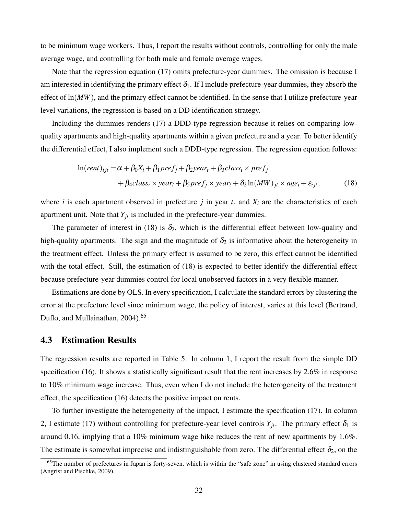to be minimum wage workers. Thus, I report the results without controls, controlling for only the male average wage, and controlling for both male and female average wages.

Note that the regression equation (17) omits prefecture-year dummies. The omission is because I am interested in identifying the primary effect  $\delta_1$ . If I include prefecture-year dummies, they absorb the effect of  $ln(MW)$ , and the primary effect cannot be identified. In the sense that I utilize prefecture-year level variations, the regression is based on a DD identification strategy.

Including the dummies renders (17) a DDD-type regression because it relies on comparing lowquality apartments and high-quality apartments within a given prefecture and a year. To better identify the differential effect, I also implement such a DDD-type regression. The regression equation follows:

$$
\ln(\text{rent})_{ijt} = \alpha + \beta_0 X_i + \beta_1 \text{pref}_j + \beta_2 \text{year}_t + \beta_3 \text{class}_i \times \text{pref}_j + \beta_4 \text{class}_i \times \text{year}_t + \beta_5 \text{pref}_j \times \text{year}_t + \delta_2 \ln(MW)_{jt} \times \text{age}_i + \varepsilon_{ijt},
$$
(18)

where *i* is each apartment observed in prefecture *j* in year *t*, and  $X_i$  are the characteristics of each apartment unit. Note that  $Y_{it}$  is included in the prefecture-year dummies.

The parameter of interest in (18) is  $\delta_2$ , which is the differential effect between low-quality and high-quality apartments. The sign and the magnitude of  $\delta_2$  is informative about the heterogeneity in the treatment effect. Unless the primary effect is assumed to be zero, this effect cannot be identified with the total effect. Still, the estimation of  $(18)$  is expected to better identify the differential effect because prefecture-year dummies control for local unobserved factors in a very flexible manner.

Estimations are done by OLS. In every specification, I calculate the standard errors by clustering the error at the prefecture level since minimum wage, the policy of interest, varies at this level (Bertrand, Duflo, and Mullainathan, 2004).<sup>65</sup>

## 4.3 Estimation Results

The regression results are reported in Table 5. In column 1, I report the result from the simple DD specification (16). It shows a statistically significant result that the rent increases by 2.6% in response to 10% minimum wage increase. Thus, even when I do not include the heterogeneity of the treatment effect, the specification (16) detects the positive impact on rents.

To further investigate the heterogeneity of the impact, I estimate the specification (17). In column 2, I estimate (17) without controlling for prefecture-year level controls  $Y_{jt}$ . The primary effect  $\delta_1$  is around 0.16, implying that a 10% minimum wage hike reduces the rent of new apartments by 1.6%. The estimate is somewhat imprecise and indistinguishable from zero. The differential effect  $\delta_2$ , on the

 $65$ The number of prefectures in Japan is forty-seven, which is within the "safe zone" in using clustered standard errors (Angrist and Pischke, 2009).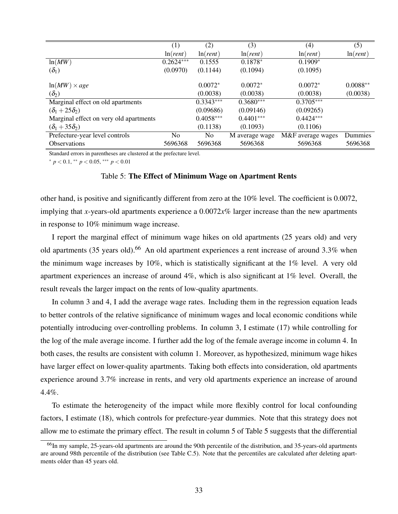|                                        | (1)               | (2)               | (3)               | (4)               | (5)               |
|----------------------------------------|-------------------|-------------------|-------------------|-------------------|-------------------|
|                                        | ln( <i>rent</i> ) | ln( <i>rent</i> ) | ln( <i>rent</i> ) | ln( <i>rent</i> ) | ln( <i>rent</i> ) |
| ln(MW)                                 | $0.2624***$       | 0.1555            | $0.1878*$         | $0.1909*$         |                   |
| $(\delta_1)$                           | (0.0970)          | (0.1144)          | (0.1094)          | (0.1095)          |                   |
| $ln(MW) \times age$                    |                   | $0.0072*$         | $0.0072*$         | $0.0072*$         | $0.0088**$        |
| $(\delta_2)$                           |                   | (0.0038)          | (0.0038)          | (0.0038)          | (0.0038)          |
| Marginal effect on old apartments      |                   | $0.3343***$       | $0.3680***$       | $0.3705***$       |                   |
| $(\delta_1+25\delta_2)$                |                   | (0.09686)         | (0.09146)         | (0.09265)         |                   |
| Marginal effect on very old apartments |                   | $0.4058***$       | $0.4401***$       | $0.4424***$       |                   |
| $(\delta_1+35\delta_2)$                |                   | (0.1138)          | (0.1093)          | (0.1106)          |                   |
| Prefecture-year level controls         | No.               | N <sub>0</sub>    | M average wage    | M&F average wages | Dummies           |
| <b>Observations</b>                    | 5696368           | 5696368           | 5696368           | 5696368           | 5696368           |

Standard errors in parentheses are clustered at the prefecture level.

<sup>∗</sup> *p* < 0.1, ∗∗ *p* < 0.05, ∗∗∗ *p* < 0.01

#### Table 5: The Effect of Minimum Wage on Apartment Rents

other hand, is positive and significantly different from zero at the 10% level. The coefficient is 0.0072, implying that *x*-years-old apartments experience a 0.0072*x*% larger increase than the new apartments in response to 10% minimum wage increase.

I report the marginal effect of minimum wage hikes on old apartments (25 years old) and very old apartments (35 years old).<sup>66</sup> An old apartment experiences a rent increase of around 3.3% when the minimum wage increases by 10%, which is statistically significant at the 1% level. A very old apartment experiences an increase of around 4%, which is also significant at 1% level. Overall, the result reveals the larger impact on the rents of low-quality apartments.

In column 3 and 4, I add the average wage rates. Including them in the regression equation leads to better controls of the relative significance of minimum wages and local economic conditions while potentially introducing over-controlling problems. In column 3, I estimate (17) while controlling for the log of the male average income. I further add the log of the female average income in column 4. In both cases, the results are consistent with column 1. Moreover, as hypothesized, minimum wage hikes have larger effect on lower-quality apartments. Taking both effects into consideration, old apartments experience around 3.7% increase in rents, and very old apartments experience an increase of around 4.4%.

To estimate the heterogeneity of the impact while more flexibly control for local confounding factors, I estimate (18), which controls for prefecture-year dummies. Note that this strategy does not allow me to estimate the primary effect. The result in column 5 of Table 5 suggests that the differential

<sup>&</sup>lt;sup>66</sup>In my sample, 25-years-old apartments are around the 90th percentile of the distribution, and 35-years-old apartments are around 98th percentile of the distribution (see Table C.5). Note that the percentiles are calculated after deleting apartments older than 45 years old.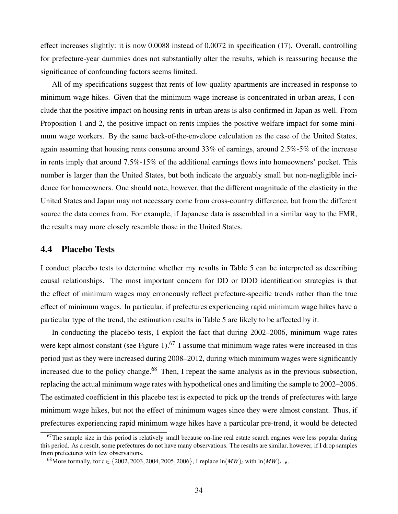effect increases slightly: it is now 0.0088 instead of 0.0072 in specification (17). Overall, controlling for prefecture-year dummies does not substantially alter the results, which is reassuring because the significance of confounding factors seems limited.

All of my specifications suggest that rents of low-quality apartments are increased in response to minimum wage hikes. Given that the minimum wage increase is concentrated in urban areas, I conclude that the positive impact on housing rents in urban areas is also confirmed in Japan as well. From Proposition 1 and 2, the positive impact on rents implies the positive welfare impact for some minimum wage workers. By the same back-of-the-envelope calculation as the case of the United States, again assuming that housing rents consume around 33% of earnings, around 2.5%-5% of the increase in rents imply that around 7.5%-15% of the additional earnings flows into homeowners' pocket. This number is larger than the United States, but both indicate the arguably small but non-negligible incidence for homeowners. One should note, however, that the different magnitude of the elasticity in the United States and Japan may not necessary come from cross-country difference, but from the different source the data comes from. For example, if Japanese data is assembled in a similar way to the FMR, the results may more closely resemble those in the United States.

## 4.4 Placebo Tests

I conduct placebo tests to determine whether my results in Table 5 can be interpreted as describing causal relationships. The most important concern for DD or DDD identification strategies is that the effect of minimum wages may erroneously reflect prefecture-specific trends rather than the true effect of minimum wages. In particular, if prefectures experiencing rapid minimum wage hikes have a particular type of the trend, the estimation results in Table 5 are likely to be affected by it.

In conducting the placebo tests, I exploit the fact that during 2002–2006, minimum wage rates were kept almost constant (see Figure 1).<sup>67</sup> I assume that minimum wage rates were increased in this period just as they were increased during 2008–2012, during which minimum wages were significantly increased due to the policy change.<sup>68</sup> Then, I repeat the same analysis as in the previous subsection, replacing the actual minimum wage rates with hypothetical ones and limiting the sample to 2002–2006. The estimated coefficient in this placebo test is expected to pick up the trends of prefectures with large minimum wage hikes, but not the effect of minimum wages since they were almost constant. Thus, if prefectures experiencing rapid minimum wage hikes have a particular pre-trend, it would be detected

 $67$ The sample size in this period is relatively small because on-line real estate search engines were less popular during this period. As a result, some prefectures do not have many observations. The results are similar, however, if I drop samples from prefectures with few observations.

<sup>68</sup> More formally, for  $t \in \{2002, 2003, 2004, 2005, 2006\}$ , I replace  $\ln(MW)_t$  with  $\ln(MW)_{t+\text{6}}$ .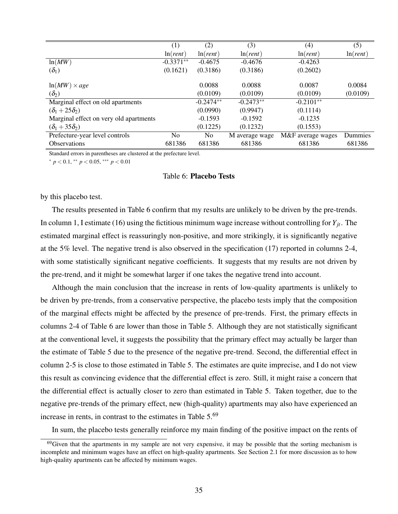|                                        | (1)               | (2)               | (3)               | (4)               | (5)               |
|----------------------------------------|-------------------|-------------------|-------------------|-------------------|-------------------|
|                                        | ln( <i>rent</i> ) | ln( <i>rent</i> ) | ln( <i>rent</i> ) | ln( <i>rent</i> ) | ln( <i>rent</i> ) |
| ln(MW)                                 | $-0.3371**$       | $-0.4675$         | $-0.4676$         | $-0.4263$         |                   |
| $(\delta_1)$                           | (0.1621)          | (0.3186)          | (0.3186)          | (0.2602)          |                   |
|                                        |                   |                   |                   |                   |                   |
| $ln(MW) \times age$                    |                   | 0.0088            | 0.0088            | 0.0087            | 0.0084            |
| $(\delta_2)$                           |                   | (0.0109)          | (0.0109)          | (0.0109)          | (0.0109)          |
| Marginal effect on old apartments      |                   | $-0.2474**$       | $-0.2473**$       | $-0.2101**$       |                   |
| $(\delta_1+25\delta_2)$                |                   | (0.0990)          | (0.9947)          | (0.1114)          |                   |
| Marginal effect on very old apartments |                   | $-0.1593$         | $-0.1592$         | $-0.1235$         |                   |
| $(\delta_1+35\delta_2)$                |                   | (0.1225)          | (0.1232)          | (0.1553)          |                   |
| Prefecture-year level controls         | No.               | No.               | M average wage    | M&F average wages | Dummies           |
| <b>Observations</b>                    | 681386            | 681386            | 681386            | 681386            | 681386            |

Standard errors in parentheses are clustered at the prefecture level.

<sup>∗</sup> *p* < 0.1, ∗∗ *p* < 0.05, ∗∗∗ *p* < 0.01

#### Table 6: Placebo Tests

by this placebo test.

The results presented in Table 6 confirm that my results are unlikely to be driven by the pre-trends. In column 1, I estimate (16) using the fictitious minimum wage increase without controlling for  $Y_{it}$ . The estimated marginal effect is reassuringly non-positive, and more strikingly, it is significantly negative at the 5% level. The negative trend is also observed in the specification (17) reported in columns 2-4, with some statistically significant negative coefficients. It suggests that my results are not driven by the pre-trend, and it might be somewhat larger if one takes the negative trend into account.

Although the main conclusion that the increase in rents of low-quality apartments is unlikely to be driven by pre-trends, from a conservative perspective, the placebo tests imply that the composition of the marginal effects might be affected by the presence of pre-trends. First, the primary effects in columns 2-4 of Table 6 are lower than those in Table 5. Although they are not statistically significant at the conventional level, it suggests the possibility that the primary effect may actually be larger than the estimate of Table 5 due to the presence of the negative pre-trend. Second, the differential effect in column 2-5 is close to those estimated in Table 5. The estimates are quite imprecise, and I do not view this result as convincing evidence that the differential effect is zero. Still, it might raise a concern that the differential effect is actually closer to zero than estimated in Table 5. Taken together, due to the negative pre-trends of the primary effect, new (high-quality) apartments may also have experienced an increase in rents, in contrast to the estimates in Table 5.<sup>69</sup>

In sum, the placebo tests generally reinforce my main finding of the positive impact on the rents of

<sup>&</sup>lt;sup>69</sup>Given that the apartments in my sample are not very expensive, it may be possible that the sorting mechanism is incomplete and minimum wages have an effect on high-quality apartments. See Section 2.1 for more discussion as to how high-quality apartments can be affected by minimum wages.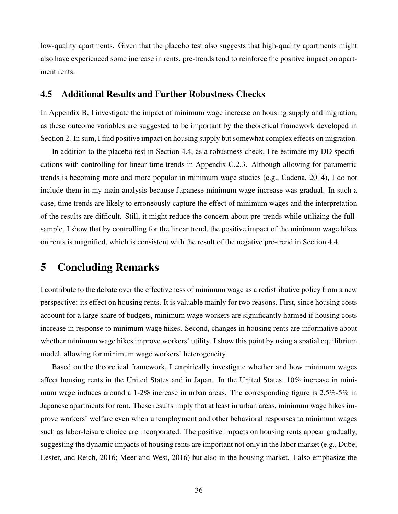low-quality apartments. Given that the placebo test also suggests that high-quality apartments might also have experienced some increase in rents, pre-trends tend to reinforce the positive impact on apartment rents.

## 4.5 Additional Results and Further Robustness Checks

In Appendix B, I investigate the impact of minimum wage increase on housing supply and migration, as these outcome variables are suggested to be important by the theoretical framework developed in Section 2. In sum, I find positive impact on housing supply but somewhat complex effects on migration.

In addition to the placebo test in Section 4.4, as a robustness check, I re-estimate my DD specifications with controlling for linear time trends in Appendix C.2.3. Although allowing for parametric trends is becoming more and more popular in minimum wage studies (e.g., Cadena, 2014), I do not include them in my main analysis because Japanese minimum wage increase was gradual. In such a case, time trends are likely to erroneously capture the effect of minimum wages and the interpretation of the results are difficult. Still, it might reduce the concern about pre-trends while utilizing the fullsample. I show that by controlling for the linear trend, the positive impact of the minimum wage hikes on rents is magnified, which is consistent with the result of the negative pre-trend in Section 4.4.

## 5 Concluding Remarks

I contribute to the debate over the effectiveness of minimum wage as a redistributive policy from a new perspective: its effect on housing rents. It is valuable mainly for two reasons. First, since housing costs account for a large share of budgets, minimum wage workers are significantly harmed if housing costs increase in response to minimum wage hikes. Second, changes in housing rents are informative about whether minimum wage hikes improve workers' utility. I show this point by using a spatial equilibrium model, allowing for minimum wage workers' heterogeneity.

Based on the theoretical framework, I empirically investigate whether and how minimum wages affect housing rents in the United States and in Japan. In the United States, 10% increase in minimum wage induces around a 1-2% increase in urban areas. The corresponding figure is 2.5%-5% in Japanese apartments for rent. These results imply that at least in urban areas, minimum wage hikes improve workers' welfare even when unemployment and other behavioral responses to minimum wages such as labor-leisure choice are incorporated. The positive impacts on housing rents appear gradually, suggesting the dynamic impacts of housing rents are important not only in the labor market (e.g., Dube, Lester, and Reich, 2016; Meer and West, 2016) but also in the housing market. I also emphasize the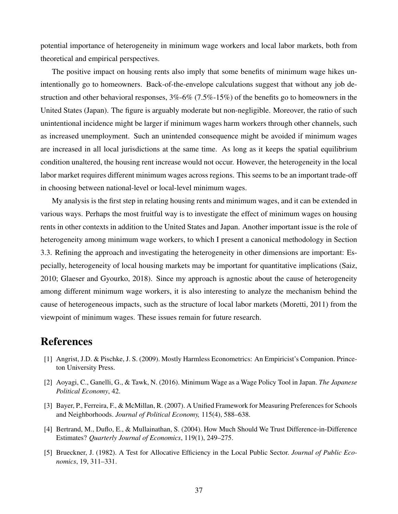potential importance of heterogeneity in minimum wage workers and local labor markets, both from theoretical and empirical perspectives.

The positive impact on housing rents also imply that some benefits of minimum wage hikes unintentionally go to homeowners. Back-of-the-envelope calculations suggest that without any job destruction and other behavioral responses, 3%-6% (7.5%-15%) of the benefits go to homeowners in the United States (Japan). The figure is arguably moderate but non-negligible. Moreover, the ratio of such unintentional incidence might be larger if minimum wages harm workers through other channels, such as increased unemployment. Such an unintended consequence might be avoided if minimum wages are increased in all local jurisdictions at the same time. As long as it keeps the spatial equilibrium condition unaltered, the housing rent increase would not occur. However, the heterogeneity in the local labor market requires different minimum wages across regions. This seems to be an important trade-off in choosing between national-level or local-level minimum wages.

My analysis is the first step in relating housing rents and minimum wages, and it can be extended in various ways. Perhaps the most fruitful way is to investigate the effect of minimum wages on housing rents in other contexts in addition to the United States and Japan. Another important issue is the role of heterogeneity among minimum wage workers, to which I present a canonical methodology in Section 3.3. Refining the approach and investigating the heterogeneity in other dimensions are important: Especially, heterogeneity of local housing markets may be important for quantitative implications (Saiz, 2010; Glaeser and Gyourko, 2018). Since my approach is agnostic about the cause of heterogeneity among different minimum wage workers, it is also interesting to analyze the mechanism behind the cause of heterogeneous impacts, such as the structure of local labor markets (Moretti, 2011) from the viewpoint of minimum wages. These issues remain for future research.

## References

- [1] Angrist, J.D. & Pischke, J. S. (2009). Mostly Harmless Econometrics: An Empiricist's Companion. Princeton University Press.
- [2] Aoyagi, C., Ganelli, G., & Tawk, N. (2016). Minimum Wage as a Wage Policy Tool in Japan. *The Japanese Political Economy*, 42.
- [3] Bayer, P., Ferreira, F., & McMillan, R. (2007). A Unified Framework for Measuring Preferences for Schools and Neighborhoods. *Journal of Political Economy,* 115(4), 588–638.
- [4] Bertrand, M., Duflo, E., & Mullainathan, S. (2004). How Much Should We Trust Difference-in-Difference Estimates? *Quarterly Journal of Economics*, 119(1), 249–275.
- [5] Brueckner, J. (1982). A Test for Allocative Efficiency in the Local Public Sector. *Journal of Public Economics*, 19, 311–331.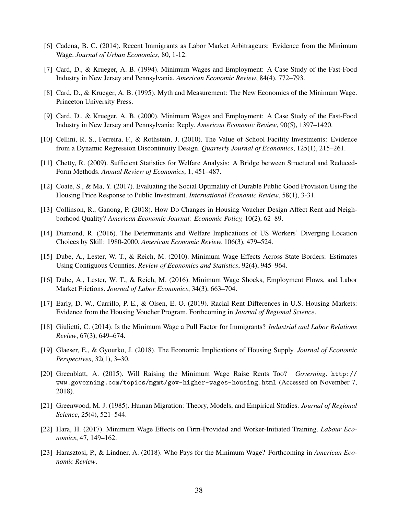- [6] Cadena, B. C. (2014). Recent Immigrants as Labor Market Arbitrageurs: Evidence from the Minimum Wage. *Journal of Urban Economics*, 80, 1-12.
- [7] Card, D., & Krueger, A. B. (1994). Minimum Wages and Employment: A Case Study of the Fast-Food Industry in New Jersey and Pennsylvania. *American Economic Review*, 84(4), 772–793.
- [8] Card, D., & Krueger, A. B. (1995). Myth and Measurement: The New Economics of the Minimum Wage. Princeton University Press.
- [9] Card, D., & Krueger, A. B. (2000). Minimum Wages and Employment: A Case Study of the Fast-Food Industry in New Jersey and Pennsylvania: Reply. *American Economic Review*, 90(5), 1397–1420.
- [10] Cellini, R. S., Ferreira, F., & Rothstein, J. (2010). The Value of School Facility Investments: Evidence from a Dynamic Regression Discontinuity Design. *Quarterly Journal of Economics*, 125(1), 215–261.
- [11] Chetty, R. (2009). Sufficient Statistics for Welfare Analysis: A Bridge between Structural and Reduced-Form Methods. *Annual Review of Economics*, 1, 451–487.
- [12] Coate, S., & Ma, Y. (2017). Evaluating the Social Optimality of Durable Public Good Provision Using the Housing Price Response to Public Investment. *International Economic Review*, 58(1), 3-31.
- [13] Collinson, R., Ganong, P. (2018). How Do Changes in Housing Voucher Design Affect Rent and Neighborhood Quality? *American Economic Journal: Economic Policy,* 10(2), 62–89.
- [14] Diamond, R. (2016). The Determinants and Welfare Implications of US Workers' Diverging Location Choices by Skill: 1980-2000. *American Economic Review,* 106(3), 479–524.
- [15] Dube, A., Lester, W. T., & Reich, M. (2010). Minimum Wage Effects Across State Borders: Estimates Using Contiguous Counties. *Review of Economics and Statistics*, 92(4), 945–964.
- [16] Dube, A., Lester, W. T., & Reich, M. (2016). Minimum Wage Shocks, Employment Flows, and Labor Market Frictions. *Journal of Labor Economics*, 34(3), 663–704.
- [17] Early, D. W., Carrillo, P. E., & Olsen, E. O. (2019). Racial Rent Differences in U.S. Housing Markets: Evidence from the Housing Voucher Program. Forthcoming in *Journal of Regional Science*.
- [18] Giulietti, C. (2014). Is the Minimum Wage a Pull Factor for Immigrants? *Industrial and Labor Relations Review*, 67(3), 649–674.
- [19] Glaeser, E., & Gyourko, J. (2018). The Economic Implications of Housing Supply. *Journal of Economic Perspectives*, 32(1), 3–30.
- [20] Greenblatt, A. (2015). Will Raising the Minimum Wage Raise Rents Too? *Governing*. http:// www.governing.com/topics/mgmt/gov-higher-wages-housing.html (Accessed on November 7, 2018).
- [21] Greenwood, M. J. (1985). Human Migration: Theory, Models, and Empirical Studies. *Journal of Regional Science*, 25(4), 521–544.
- [22] Hara, H. (2017). Minimum Wage Effects on Firm-Provided and Worker-Initiated Training. *Labour Economics*, 47, 149–162.
- [23] Harasztosi, P., & Lindner, A. (2018). Who Pays for the Minimum Wage? Forthcoming in *American Economic Review*.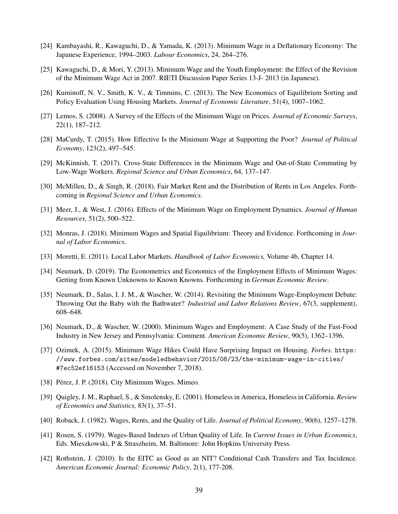- [24] Kambayashi, R., Kawaguchi, D., & Yamada, K. (2013). Minimum Wage in a Deflationary Economy: The Japanese Experience, 1994–2003. *Labour Economics*, 24, 264–276.
- [25] Kawaguchi, D., & Mori, Y. (2013). Minimum Wage and the Youth Employment: the Effect of the Revision of the Minimum Wage Act in 2007. RIETI Discussion Paper Series 13-J- 2013 (in Japanese).
- [26] Kuminoff, N. V., Smith, K. V., & Timmins, C. (2013). The New Economics of Equilibrium Sorting and Policy Evaluation Using Housing Markets. *Journal of Economic Literature*, 51(4), 1007–1062.
- [27] Lemos, S. (2008). A Survey of the Effects of the Minimum Wage on Prices. *Journal of Economic Surveys*, 22(1), 187–212.
- [28] MaCurdy, T. (2015). How Effective Is the Minimum Wage at Supporting the Poor? *Journal of Political Economy*, 123(2), 497–545.
- [29] McKinnish, T. (2017). Cross-State Differences in the Minimum Wage and Out-of-State Commuting by Low-Wage Workers. *Regional Science and Urban Economics*, 64, 137–147.
- [30] McMillen, D., & Singh, R. (2018). Fair Market Rent and the Distribution of Rents in Los Angeles. Forthcoming in *Regional Science and Urban Economics*.
- [31] Meer, J., & West, J. (2016). Effects of the Minimum Wage on Employment Dynamics. *Journal of Human Resources,* 51(2), 500–522.
- [32] Monras, J. (2018). Minimum Wages and Spatial Equilibrium: Theory and Evidence. Forthcoming in *Journal of Labor Economics*.
- [33] Moretti, E. (2011). Local Labor Markets. *Handbook of Labor Economics,* Volume 4b, Chapter 14.
- [34] Neumark, D. (2019). The Econometrics and Economics of the Employment Effects of Minimum Wages: Getting from Known Unknowns to Known Knowns. Forthcoming in *German Economic Review*.
- [35] Neumark, D., Salas, I. J. M., & Wascher, W. (2014). Revisiting the Minimum Wage-Employment Debate: Throwing Out the Baby with the Bathwater? *Industrial and Labor Relations Review*, 67(3, supplement), 608–648.
- [36] Neumark, D., & Wascher, W. (2000). Minimum Wages and Employment: A Case Study of the Fast-Food Industry in New Jersey and Pennsylvania: Comment. *American Economic Review*, 90(5), 1362–1396.
- [37] Ozimek, A. (2015). Minimum Wage Hikes Could Have Surprising Impact on Housing. *Forbes*. https: //www.forbes.com/sites/modeledbehavior/2015/08/23/the-minimum-wage-in-cities/ #7ec52ef16153 (Accessed on November 7, 2018).
- [38] Pérez, J. P. (2018). City Minimum Wages. Mimeo.
- [39] Quigley, J. M., Raphael, S., & Smolensky, E. (2001). Homeless in America, Homeless in California. *Review of Economics and Statistics,* 83(1), 37–51.
- [40] Roback, J. (1982). Wages, Rents, and the Quality of Life. *Journal of Political Economy*, 90(6), 1257–1278.
- [41] Rosen, S. (1979). Wages-Based Indexes of Urban Quality of Life. In *Current Issues in Urban Economics*, Eds. Mieszkowski, P & Straszheim, M. Baltimore: John Hopkins University Press.
- [42] Rothstein, J. (2010). Is the EITC as Good as an NIT? Conditional Cash Transfers and Tax Incidence. *American Economic Journal: Economic Policy*, 2(1), 177-208.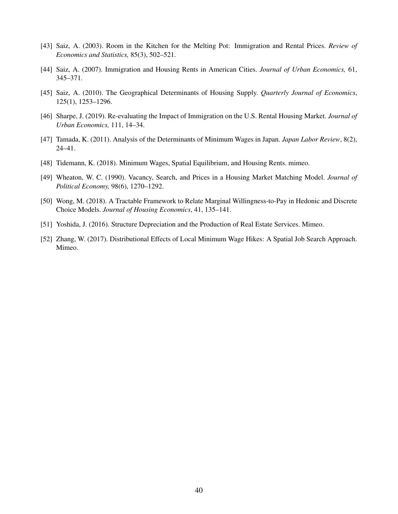- [43] Saiz, A. (2003). Room in the Kitchen for the Melting Pot: Immigration and Rental Prices. *Review of Economics and Statistics,* 85(3), 502–521.
- [44] Saiz, A. (2007). Immigration and Housing Rents in American Cities. *Journal of Urban Economics,* 61, 345–371.
- [45] Saiz, A. (2010). The Geographical Determinants of Housing Supply. *Quarterly Journal of Economics*, 125(1), 1253–1296.
- [46] Sharpe, J. (2019). Re-evaluating the Impact of Immigration on the U.S. Rental Housing Market. *Journal of Urban Economics,* 111, 14–34.
- [47] Tamada, K. (2011). Analysis of the Determinants of Minimum Wages in Japan. *Japan Labor Review*, 8(2), 24–41.
- [48] Tidemann, K. (2018). Minimum Wages, Spatial Equilibrium, and Housing Rents. mimeo.
- [49] Wheaton, W. C. (1990). Vacancy, Search, and Prices in a Housing Market Matching Model. *Journal of Political Economy,* 98(6), 1270–1292.
- [50] Wong, M. (2018). A Tractable Framework to Relate Marginal Willingness-to-Pay in Hedonic and Discrete Choice Models. *Journal of Housing Economics*, 41, 135–141.
- [51] Yoshida, J. (2016). Structure Depreciation and the Production of Real Estate Services. Mimeo.
- [52] Zhang, W. (2017). Distributional Effects of Local Minimum Wage Hikes: A Spatial Job Search Approach. Mimeo.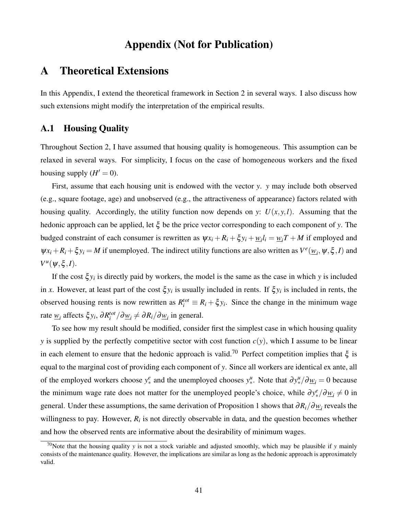## Appendix (Not for Publication)

## A Theoretical Extensions

In this Appendix, I extend the theoretical framework in Section 2 in several ways. I also discuss how such extensions might modify the interpretation of the empirical results.

## A.1 Housing Quality

Throughout Section 2, I have assumed that housing quality is homogeneous. This assumption can be relaxed in several ways. For simplicity, I focus on the case of homogeneous workers and the fixed housing supply  $(H' = 0)$ .

First, assume that each housing unit is endowed with the vector *y*. *y* may include both observed (e.g., square footage, age) and unobserved (e.g., the attractiveness of appearance) factors related with housing quality. Accordingly, the utility function now depends on *y*:  $U(x, y, l)$ . Assuming that the hedonic approach can be applied, let ξ be the price vector corresponding to each component of *y*. The budged constraint of each consumer is rewritten as  $\psi x_i + R_i + \xi y_i + \psi_i l_i = \psi_i T + M$  if employed and  $\psi x_i + R_i + \xi y_i = M$  if unemployed. The indirect utility functions are also written as  $V^e(\underline{w}_i, \psi, \xi, I)$  and  $V^u(\psi, \xi, I)$ .

If the cost  $\xi y_i$  is directly paid by workers, the model is the same as the case in which *y* is included in *x*. However, at least part of the cost  $\xi y_i$  is usually included in rents. If  $\xi y_i$  is included in rents, the observed housing rents is now rewritten as  $R_i^{tot} \equiv R_i + \xi y_i$ . Since the change in the minimum wage rate  $\underline{w}_i$  affects  $\xi y_i$ ,  $\partial R_i^{tot}/\partial \underline{w}_i \neq \partial R_i/\partial \underline{w}_i$  in general.

To see how my result should be modified, consider first the simplest case in which housing quality *y* is supplied by the perfectly competitive sector with cost function  $c(y)$ , which I assume to be linear in each element to ensure that the hedonic approach is valid.<sup>70</sup> Perfect competition implies that  $\xi$  is equal to the marginal cost of providing each component of *y*. Since all workers are identical ex ante, all of the employed workers choose  $y_*^e$  and the unemployed chooses  $y_*^u$ . Note that  $\partial y_*^u / \partial \underline{w}_i = 0$  because the minimum wage rate does not matter for the unemployed people's choice, while  $\partial y_*^e / \partial \underline{w}_i \neq 0$  in general. Under these assumptions, the same derivation of Proposition 1 shows that <sup>∂</sup>*Ri*/∂*w<sup>i</sup>* reveals the willingness to pay. However,  $R_i$  is not directly observable in data, and the question becomes whether and how the observed rents are informative about the desirability of minimum wages.

<sup>&</sup>lt;sup>70</sup>Note that the housing quality *y* is not a stock variable and adjusted smoothly, which may be plausible if *y* mainly consists of the maintenance quality. However, the implications are similar as long as the hedonic approach is approximately valid.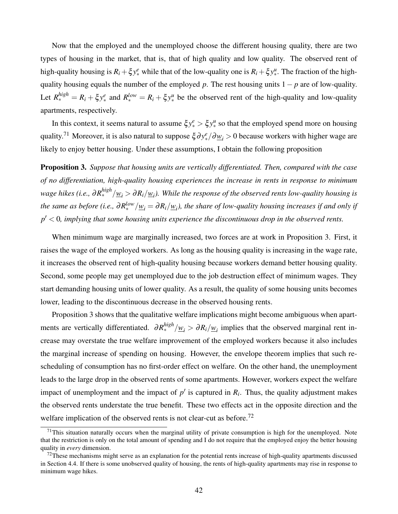Now that the employed and the unemployed choose the different housing quality, there are two types of housing in the market, that is, that of high quality and low quality. The observed rent of high-quality housing is  $R_i + \xi y_*^e$  while that of the low-quality one is  $R_i + \xi y_*^u$ . The fraction of the highquality housing equals the number of the employed *p*. The rest housing units 1− *p* are of low-quality. Let  $R_{*}^{high} = R_i + \xi y_{*}^{e}$  and  $R_{*}^{low} = R_i + \xi y_{*}^{u}$  be the observed rent of the high-quality and low-quality apartments, respectively.

In this context, it seems natural to assume  $\xi y_*^e > \xi y_*^u$  so that the employed spend more on housing quality.<sup>71</sup> Moreover, it is also natural to suppose  $\xi \partial y_*^e / \partial \underline{w}_i > 0$  because workers with higher wage are likely to enjoy better housing. Under these assumptions, I obtain the following proposition

Proposition 3. *Suppose that housing units are vertically differentiated. Then, compared with the case of no differentiation, high-quality housing experiences the increase in rents in response to minimum* wage hikes (i.e.,  $\partial R_*^{high}/\underline{w}_i>\partial R_i/\underline{w}_i$ ). While the response of the observed rents low-quality housing is the same as before (i.e.,  $\partial R_*^{low}/\underline{w}_i = \partial R_i/\underline{w}_i$ ), the share of low-quality housing increases if and only if *p* ′ < 0*, implying that some housing units experience the discontinuous drop in the observed rents.*

When minimum wage are marginally increased, two forces are at work in Proposition 3. First, it raises the wage of the employed workers. As long as the housing quality is increasing in the wage rate, it increases the observed rent of high-quality housing because workers demand better housing quality. Second, some people may get unemployed due to the job destruction effect of minimum wages. They start demanding housing units of lower quality. As a result, the quality of some housing units becomes lower, leading to the discontinuous decrease in the observed housing rents.

Proposition 3 shows that the qualitative welfare implications might become ambiguous when apartments are vertically differentiated.  $\partial R_*^{high}/\underline{w}_i > \partial R_i/\underline{w}_i$  implies that the observed marginal rent increase may overstate the true welfare improvement of the employed workers because it also includes the marginal increase of spending on housing. However, the envelope theorem implies that such rescheduling of consumption has no first-order effect on welfare. On the other hand, the unemployment leads to the large drop in the observed rents of some apartments. However, workers expect the welfare impact of unemployment and the impact of  $p'$  is captured in  $R_i$ . Thus, the quality adjustment makes the observed rents understate the true benefit. These two effects act in the opposite direction and the welfare implication of the observed rents is not clear-cut as before.<sup>72</sup>

 $71$ This situation naturally occurs when the marginal utility of private consumption is high for the unemployed. Note that the restriction is only on the total amount of spending and I do not require that the employed enjoy the better housing quality in *every* dimension.

 $<sup>72</sup>$ These mechanisms might serve as an explanation for the potential rents increase of high-quality apartments discussed</sup> in Section 4.4. If there is some unobserved quality of housing, the rents of high-quality apartments may rise in response to minimum wage hikes.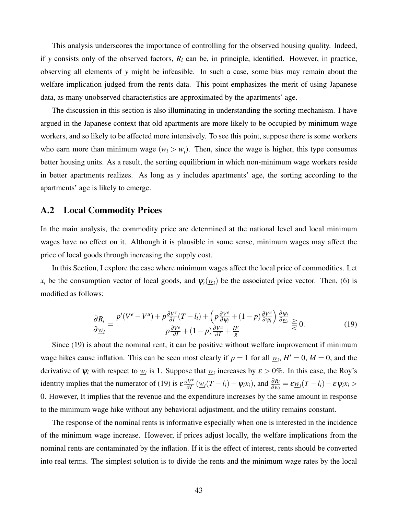This analysis underscores the importance of controlling for the observed housing quality. Indeed, if *y* consists only of the observed factors,  $R_i$  can be, in principle, identified. However, in practice, observing all elements of *y* might be infeasible. In such a case, some bias may remain about the welfare implication judged from the rents data. This point emphasizes the merit of using Japanese data, as many unobserved characteristics are approximated by the apartments' age.

The discussion in this section is also illuminating in understanding the sorting mechanism. I have argued in the Japanese context that old apartments are more likely to be occupied by minimum wage workers, and so likely to be affected more intensively. To see this point, suppose there is some workers who earn more than minimum wage  $(w_i > w_i)$ . Then, since the wage is higher, this type consumes better housing units. As a result, the sorting equilibrium in which non-minimum wage workers reside in better apartments realizes. As long as *y* includes apartments' age, the sorting according to the apartments' age is likely to emerge.

### A.2 Local Commodity Prices

In the main analysis, the commodity price are determined at the national level and local minimum wages have no effect on it. Although it is plausible in some sense, minimum wages may affect the price of local goods through increasing the supply cost.

In this Section, I explore the case where minimum wages affect the local price of commodities. Let *x<sub>i</sub>* be the consumption vector of local goods, and  $\psi_i(\underline{w}_i)$  be the associated price vector. Then, (6) is modified as follows:

$$
\frac{\partial R_i}{\partial \underline{w}_i} = \frac{p'(V^e - V^u) + p \frac{\partial V^e}{\partial I} (T - l_i) + \left( p \frac{\partial V^e}{\partial \psi_i} + (1 - p) \frac{\partial V^u}{\partial \psi_i} \right) \frac{\partial \psi_i}{\partial \underline{w}_i}}{p \frac{\partial V^e}{\partial I} + (1 - p) \frac{\partial V^u}{\partial I} + \frac{H'}{g}} \ge 0.
$$
\n(19)

Since (19) is about the nominal rent, it can be positive without welfare improvement if minimum wage hikes cause inflation. This can be seen most clearly if  $p = 1$  for all  $w_i$ ,  $H' = 0$ ,  $M = 0$ , and the derivative of  $\psi_i$  with respect to  $\underline{w}_i$  is 1. Suppose that  $\underline{w}_i$  increases by  $\varepsilon > 0$ %. In this case, the Roy's identity implies that the numerator of (19) is  $\varepsilon \frac{\partial V^e}{\partial I}$  $\frac{\partial V^e}{\partial I}(\underline{w}_i(T - l_i) - \psi_i x_i)$ , and  $\frac{\partial R_i}{\partial \underline{w}_i} = \varepsilon \underline{w}_i(T - l_i) - \varepsilon \psi_i x_i > 0$ 0. However, It implies that the revenue and the expenditure increases by the same amount in response to the minimum wage hike without any behavioral adjustment, and the utility remains constant.

The response of the nominal rents is informative especially when one is interested in the incidence of the minimum wage increase. However, if prices adjust locally, the welfare implications from the nominal rents are contaminated by the inflation. If it is the effect of interest, rents should be converted into real terms. The simplest solution is to divide the rents and the minimum wage rates by the local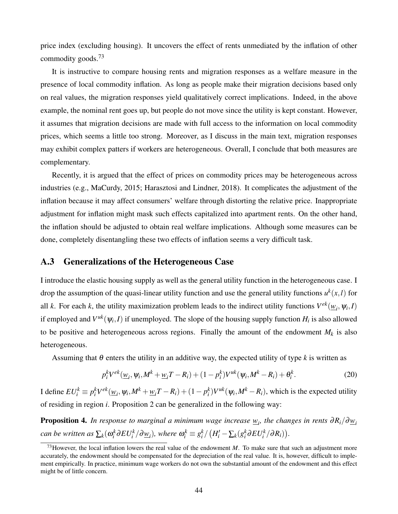price index (excluding housing). It uncovers the effect of rents unmediated by the inflation of other commodity goods.<sup>73</sup>

It is instructive to compare housing rents and migration responses as a welfare measure in the presence of local commodity inflation. As long as people make their migration decisions based only on real values, the migration responses yield qualitatively correct implications. Indeed, in the above example, the nominal rent goes up, but people do not move since the utility is kept constant. However, it assumes that migration decisions are made with full access to the information on local commodity prices, which seems a little too strong. Moreover, as I discuss in the main text, migration responses may exhibit complex patters if workers are heterogeneous. Overall, I conclude that both measures are complementary.

Recently, it is argued that the effect of prices on commodity prices may be heterogeneous across industries (e.g., MaCurdy, 2015; Harasztosi and Lindner, 2018). It complicates the adjustment of the inflation because it may affect consumers' welfare through distorting the relative price. Inappropriate adjustment for inflation might mask such effects capitalized into apartment rents. On the other hand, the inflation should be adjusted to obtain real welfare implications. Although some measures can be done, completely disentangling these two effects of inflation seems a very difficult task.

### A.3 Generalizations of the Heterogeneous Case

I introduce the elastic housing supply as well as the general utility function in the heterogeneous case. I drop the assumption of the quasi-linear utility function and use the general utility functions  $u^k(x, l)$  for all *k*. For each *k*, the utility maximization problem leads to the indirect utility functions  $V^{ek}(\underline{w}_i, \psi_i, I)$ if employed and  $V^{uk}(\psi_i, I)$  if unemployed. The slope of the housing supply function  $H_i$  is also allowed to be positive and heterogeneous across regions. Finally the amount of the endowment  $M_k$  is also heterogeneous.

Assuming that  $\theta$  enters the utility in an additive way, the expected utility of type k is written as

$$
p_i^k V^{ek}(\underline{w}_i, \psi_i, M^k + \underline{w}_i T - R_i) + (1 - p_i^k) V^{uk}(\psi_i, M^k - R_i) + \theta_i^k.
$$
 (20)

I define  $EU_i^k \equiv p_i^k V^{ek}(\underline{w}_i, \psi_i, M^k + \underline{w}_i T - R_i) + (1 - p_i^k)V^{uk}(\psi_i, M^k - R_i)$ , which is the expected utility of residing in region *i*. Proposition 2 can be generalized in the following way:

**Proposition 4.** In response to marginal a minimum wage increase  $w_i$ , the changes in rents  $\partial R_i/\partial \underline{w}_i$ can be written as  $\sum_k(\omega_i^k \partial EU_i^k/\partial \underline{w}_i)$ , where  $\omega_i^k \equiv g_i^k/\left(H_i'-\sum_k(g_i^k \partial EU_i^k/\partial R_i)\right)$ .

<sup>73</sup>However, the local inflation lowers the real value of the endowment *M*. To make sure that such an adjustment more accurately, the endowment should be compensated for the depreciation of the real value. It is, however, difficult to implement empirically. In practice, minimum wage workers do not own the substantial amount of the endowment and this effect might be of little concern.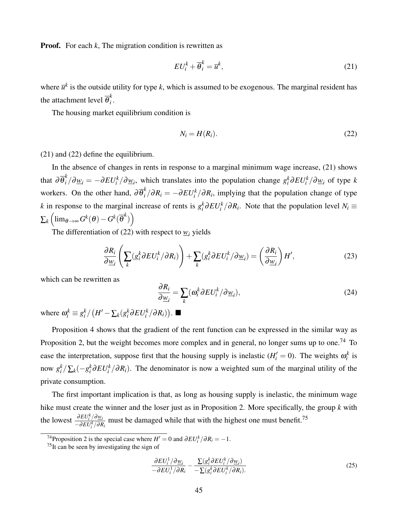**Proof.** For each *k*, The migration condition is rewritten as

$$
EU_i^k + \overline{\theta}_i^k = \overline{u}^k, \tag{21}
$$

where  $\bar{u}^k$  is the outside utility for type *k*, which is assumed to be exogenous. The marginal resident has the attachment level  $\overline{\theta}^k_i$ *i* .

The housing market equilibrium condition is

$$
N_i = H(R_i). \tag{22}
$$

(21) and (22) define the equilibrium.

In the absence of changes in rents in response to a marginal minimum wage increase, (21) shows that  $\partial \overline{\theta}_i^k / \partial \underline{w}_i = -\partial EU_i^k / \partial \underline{w}_i$ , which translates into the population change  $g_i^k \partial EU_i^k / \partial \underline{w}_i$  of type k workers. On the other hand,  $\partial \overline{\theta}_i^k / \partial R_i = -\partial E U_i^k / \partial R_i$ , implying that the population change of type *k* in response to the marginal increase of rents is  $g_i^k \frac{\partial E U_i^k}{\partial R_i}$ . Note that the population level  $N_i \equiv$  $\sum_{k} \left( \operatorname{lim}_{\theta \rightarrow \infty} G^{k}(\theta) - G^{k}(\overline{\theta}^{k}) \right)$ 

The differentiation of (22) with respect to  $\underline{w}_i$  yields

$$
\frac{\partial R_i}{\partial \underline{w}_i} \left( \sum_k (g_i^k \partial EU_i^k / \partial R_i) \right) + \sum_k (g_i^k \partial EU_i^k / \partial \underline{w}_i) = \left( \frac{\partial R_i}{\partial \underline{w}_i} \right) H',\tag{23}
$$

which can be rewritten as

$$
\frac{\partial R_i}{\partial \underline{w}_i} = \sum_k (\omega_i^k \partial EU_i^k / \partial \underline{w}_i),\tag{24}
$$

where  $\omega_i^k \equiv g_i^k / (H' - \sum_k (g_i^k \partial E U_i^k / \partial R_i)).$ 

Proposition 4 shows that the gradient of the rent function can be expressed in the similar way as Proposition 2, but the weight becomes more complex and in general, no longer sums up to one.<sup>74</sup> To ease the interpretation, suppose first that the housing supply is inelastic  $(H'_i = 0)$ . The weights  $\omega_i^k$  is now  $g_i^k / \sum_k (-g_i^k \partial E U_i^k / \partial R_i)$ . The denominator is now a weighted sum of the marginal utility of the private consumption.

The first important implication is that, as long as housing supply is inelastic, the minimum wage hike must create the winner and the loser just as in Proposition 2. More specifically, the group *k* with the lowest  $\frac{\partial EU_i^k / \partial w_i}{\partial EU_i^k / \partial w_i}$  $\frac{\partial EU_i^k}{\partial R_i}$  must be damaged while that with the highest one must benefit.<sup>75</sup>

$$
\frac{\partial EU_i^1/\partial \underline{w}_i}{-\partial EU_i^1/\partial R_i} - \frac{\sum (g_i^k \partial EU_i^k/\partial \underline{w}_i)}{-\sum (g_i^k \partial EU_i^k/\partial R_i)}.
$$
\n(25)

<sup>&</sup>lt;sup>74</sup>Proposition 2 is the special case where  $H' = 0$  and  $\partial EU_i^k / \partial R_i = -1$ .

 $75$ It can be seen by investigating the sign of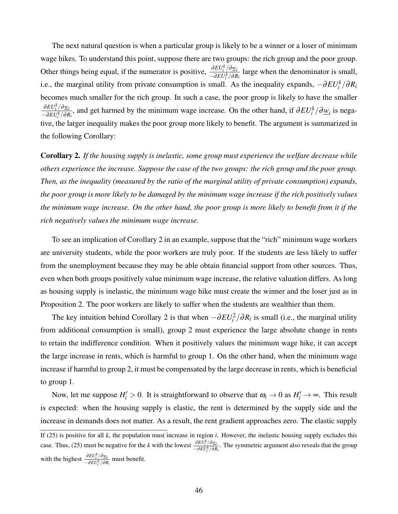The next natural question is when a particular group is likely to be a winner or a loser of minimum wage hikes. To understand this point, suppose there are two groups: the rich group and the poor group. Other things being equal, if the numerator is positive,  $\frac{\partial EU_i^k/\partial w_i}{\partial EUK/\partial P}$  $\frac{\partial EU_i/\partial W_i}{\partial E(\partial R_i)}$  large when the denominator is small, i.e., the marginal utility from private consumption is small. As the inequality expands,  $-\partial EU_i^k/\partial R_i$ becomes much smaller for the rich group. In such a case, the poor group is likely to have the smaller <sup>∂</sup>*EU<sup>k</sup> i* /∂*w<sup>i</sup>*  $\frac{\partial EU_i^k}{\partial R_i}$ , and get harmed by the minimum wage increase. On the other hand, if  $\partial EU_i^k/\partial w_i$  is nega-<br>- $\partial EU_i^k/\partial R_i$ , tive, the larger inequality makes the poor group more likely to benefit. The argument is summarized in the following Corollary:

Corollary 2. *If the housing supply is inelastic, some group must experience the welfare decrease while others experience the increase. Suppose the case of the two groups: the rich group and the poor group. Then, as the inequality (measured by the ratio of the marginal utility of private consumption) expands, the poor group is more likely to be damaged by the minimum wage increase if the rich positively values the minimum wage increase. On the other hand, the poor group is more likely to benefit from it if the rich negatively values the minimum wage increase.*

To see an implication of Corollary 2 in an example, suppose that the "rich" minimum wage workers are university students, while the poor workers are truly poor. If the students are less likely to suffer from the unemployment because they may be able obtain financial support from other sources. Thus, even when both groups positively value minimum wage increase, the relative valuation differs. As long as housing supply is inelastic, the minimum wage hike must create the winner and the loser just as in Proposition 2. The poor workers are likely to suffer when the students are wealthier than them.

The key intuition behind Corollary 2 is that when  $-\frac{\partial EU_i^2}{\partial R_i}$  is small (i.e., the marginal utility from additional consumption is small), group 2 must experience the large absolute change in rents to retain the indifference condition. When it positively values the minimum wage hike, it can accept the large increase in rents, which is harmful to group 1. On the other hand, when the minimum wage increase if harmful to group 2, it must be compensated by the large decrease in rents, which is beneficial to group 1.

Now, let me suppose  $H'_i > 0$ . It is straightforward to observe that  $\omega_i \to 0$  as  $H'_i \to \infty$ . This result is expected: when the housing supply is elastic, the rent is determined by the supply side and the increase in demands does not matter. As a result, the rent gradient approaches zero. The elastic supply

If (25) is positive for all *k*, the population must increase in region *i*. However, the inelastic housing supply excludes this case. Thus, (25) must be negative for the *k* with the lowest  $\frac{\partial EU_{i}^{k}/\partial w_{i}}{\partial EU_{i}^{k}/\partial v_{i}}$  $\frac{\partial E U_i / \partial R_i}{\partial E U_i^k / \partial R_i}$ . The symmetric argument also reveals that the group with the highest  $\frac{\partial EU_i^k / \partial w_i}{\partial EU_i^k / \partial P}$  $\frac{\partial E \hat{U}_i / \partial \underline{w}_i}{\partial E U_i^k / \partial R_i}$  must benefit.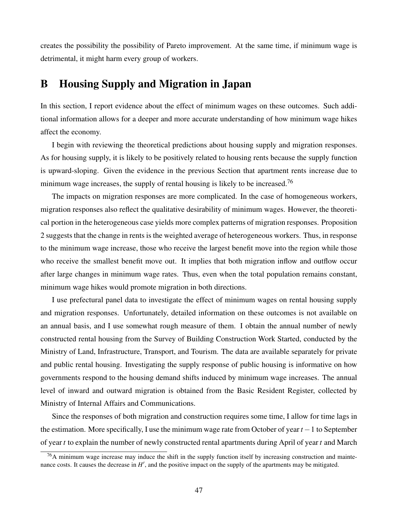creates the possibility the possibility of Pareto improvement. At the same time, if minimum wage is detrimental, it might harm every group of workers.

## B Housing Supply and Migration in Japan

In this section, I report evidence about the effect of minimum wages on these outcomes. Such additional information allows for a deeper and more accurate understanding of how minimum wage hikes affect the economy.

I begin with reviewing the theoretical predictions about housing supply and migration responses. As for housing supply, it is likely to be positively related to housing rents because the supply function is upward-sloping. Given the evidence in the previous Section that apartment rents increase due to minimum wage increases, the supply of rental housing is likely to be increased.<sup>76</sup>

The impacts on migration responses are more complicated. In the case of homogeneous workers, migration responses also reflect the qualitative desirability of minimum wages. However, the theoretical portion in the heterogeneous case yields more complex patterns of migration responses. Proposition 2 suggests that the change in rents is the weighted average of heterogeneous workers. Thus, in response to the minimum wage increase, those who receive the largest benefit move into the region while those who receive the smallest benefit move out. It implies that both migration inflow and outflow occur after large changes in minimum wage rates. Thus, even when the total population remains constant, minimum wage hikes would promote migration in both directions.

I use prefectural panel data to investigate the effect of minimum wages on rental housing supply and migration responses. Unfortunately, detailed information on these outcomes is not available on an annual basis, and I use somewhat rough measure of them. I obtain the annual number of newly constructed rental housing from the Survey of Building Construction Work Started, conducted by the Ministry of Land, Infrastructure, Transport, and Tourism. The data are available separately for private and public rental housing. Investigating the supply response of public housing is informative on how governments respond to the housing demand shifts induced by minimum wage increases. The annual level of inward and outward migration is obtained from the Basic Resident Register, collected by Ministry of Internal Affairs and Communications.

Since the responses of both migration and construction requires some time, I allow for time lags in the estimation. More specifically, I use the minimum wage rate from October of year *t* −1 to September of year *t* to explain the number of newly constructed rental apartments during April of year *t* and March

<sup>76</sup>A minimum wage increase may induce the shift in the supply function itself by increasing construction and maintenance costs. It causes the decrease in  $H'$ , and the positive impact on the supply of the apartments may be mitigated.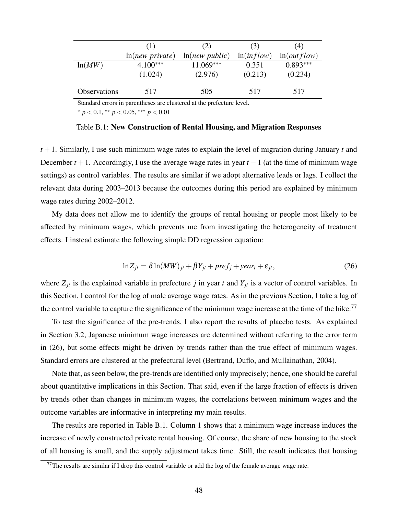|                     | (1)             | (2)            | (3)        | (4)         |
|---------------------|-----------------|----------------|------------|-------------|
|                     | ln(new private) | ln(new public) | ln(inflow) | ln(outflow) |
| ln(MW)              | $4.100***$      | $11.069***$    | 0.351      | $0.893***$  |
|                     | (1.024)         | (2.976)        | (0.213)    | (0.234)     |
| <b>Observations</b> | 517             | 505            | 517        | 517         |

Standard errors in parentheses are clustered at the prefecture level.

<sup>∗</sup> *p* < 0.1, ∗∗ *p* < 0.05, ∗∗∗ *p* < 0.01

Table B.1: New Construction of Rental Housing, and Migration Responses

*t* +1. Similarly, I use such minimum wage rates to explain the level of migration during January *t* and December *t* +1. Accordingly, I use the average wage rates in year *t* −1 (at the time of minimum wage settings) as control variables. The results are similar if we adopt alternative leads or lags. I collect the relevant data during 2003–2013 because the outcomes during this period are explained by minimum wage rates during 2002–2012.

My data does not allow me to identify the groups of rental housing or people most likely to be affected by minimum wages, which prevents me from investigating the heterogeneity of treatment effects. I instead estimate the following simple DD regression equation:

$$
\ln Z_{jt} = \delta \ln(MW)_{jt} + \beta Y_{jt} + prefix_{j} + year_{t} + \varepsilon_{jt},
$$
\n(26)

where  $Z_{jt}$  is the explained variable in prefecture *j* in year *t* and  $Y_{jt}$  is a vector of control variables. In this Section, I control for the log of male average wage rates. As in the previous Section, I take a lag of the control variable to capture the significance of the minimum wage increase at the time of the hike.<sup>77</sup>

To test the significance of the pre-trends, I also report the results of placebo tests. As explained in Section 3.2, Japanese minimum wage increases are determined without referring to the error term in (26), but some effects might be driven by trends rather than the true effect of minimum wages. Standard errors are clustered at the prefectural level (Bertrand, Duflo, and Mullainathan, 2004).

Note that, as seen below, the pre-trends are identified only imprecisely; hence, one should be careful about quantitative implications in this Section. That said, even if the large fraction of effects is driven by trends other than changes in minimum wages, the correlations between minimum wages and the outcome variables are informative in interpreting my main results.

The results are reported in Table B.1. Column 1 shows that a minimum wage increase induces the increase of newly constructed private rental housing. Of course, the share of new housing to the stock of all housing is small, and the supply adjustment takes time. Still, the result indicates that housing

 $77$ The results are similar if I drop this control variable or add the log of the female average wage rate.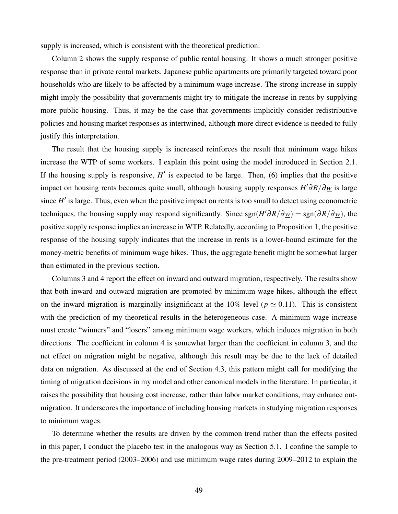supply is increased, which is consistent with the theoretical prediction.

Column 2 shows the supply response of public rental housing. It shows a much stronger positive response than in private rental markets. Japanese public apartments are primarily targeted toward poor households who are likely to be affected by a minimum wage increase. The strong increase in supply might imply the possibility that governments might try to mitigate the increase in rents by supplying more public housing. Thus, it may be the case that governments implicitly consider redistributive policies and housing market responses as intertwined, although more direct evidence is needed to fully justify this interpretation.

The result that the housing supply is increased reinforces the result that minimum wage hikes increase the WTP of some workers. I explain this point using the model introduced in Section 2.1. If the housing supply is responsive,  $H'$  is expected to be large. Then, (6) implies that the positive impact on housing rents becomes quite small, although housing supply responses *H* ′∂*R*/∂*w* is large since *H'* is large. Thus, even when the positive impact on rents is too small to detect using econometric techniques, the housing supply may respond significantly. Since  $sgn(H' \partial R / \partial w) = sgn(\partial R / \partial w)$ , the positive supply response implies an increase in WTP. Relatedly, according to Proposition 1, the positive response of the housing supply indicates that the increase in rents is a lower-bound estimate for the money-metric benefits of minimum wage hikes. Thus, the aggregate benefit might be somewhat larger than estimated in the previous section.

Columns 3 and 4 report the effect on inward and outward migration, respectively. The results show that both inward and outward migration are promoted by minimum wage hikes, although the effect on the inward migration is marginally insignificant at the 10% level ( $p \approx 0.11$ ). This is consistent with the prediction of my theoretical results in the heterogeneous case. A minimum wage increase must create "winners" and "losers" among minimum wage workers, which induces migration in both directions. The coefficient in column 4 is somewhat larger than the coefficient in column 3, and the net effect on migration might be negative, although this result may be due to the lack of detailed data on migration. As discussed at the end of Section 4.3, this pattern might call for modifying the timing of migration decisions in my model and other canonical models in the literature. In particular, it raises the possibility that housing cost increase, rather than labor market conditions, may enhance outmigration. It underscores the importance of including housing markets in studying migration responses to minimum wages.

To determine whether the results are driven by the common trend rather than the effects posited in this paper, I conduct the placebo test in the analogous way as Section 5.1. I confine the sample to the pre-treatment period (2003–2006) and use minimum wage rates during 2009–2012 to explain the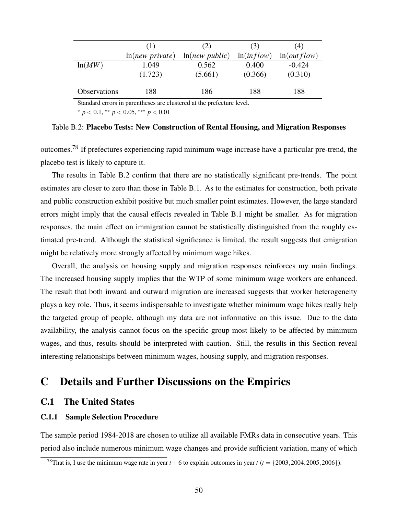|              | (1)             | (2)            | (3)        | (4)         |
|--------------|-----------------|----------------|------------|-------------|
|              | ln(new private) | ln(new public) | ln(inflow) | ln(outflow) |
| ln(MW)       | 1.049           | 0.562          | 0.400      | $-0.424$    |
|              | (1.723)         | (5.661)        | (0.366)    | (0.310)     |
| Observations | 188             | 186            | 188        | 188         |

Standard errors in parentheses are clustered at the prefecture level.

<sup>∗</sup> *p* < 0.1, ∗∗ *p* < 0.05, ∗∗∗ *p* < 0.01

Table B.2: Placebo Tests: New Construction of Rental Housing, and Migration Responses

outcomes.<sup>78</sup> If prefectures experiencing rapid minimum wage increase have a particular pre-trend, the placebo test is likely to capture it.

The results in Table B.2 confirm that there are no statistically significant pre-trends. The point estimates are closer to zero than those in Table B.1. As to the estimates for construction, both private and public construction exhibit positive but much smaller point estimates. However, the large standard errors might imply that the causal effects revealed in Table B.1 might be smaller. As for migration responses, the main effect on immigration cannot be statistically distinguished from the roughly estimated pre-trend. Although the statistical significance is limited, the result suggests that emigration might be relatively more strongly affected by minimum wage hikes.

Overall, the analysis on housing supply and migration responses reinforces my main findings. The increased housing supply implies that the WTP of some minimum wage workers are enhanced. The result that both inward and outward migration are increased suggests that worker heterogeneity plays a key role. Thus, it seems indispensable to investigate whether minimum wage hikes really help the targeted group of people, although my data are not informative on this issue. Due to the data availability, the analysis cannot focus on the specific group most likely to be affected by minimum wages, and thus, results should be interpreted with caution. Still, the results in this Section reveal interesting relationships between minimum wages, housing supply, and migration responses.

## C Details and Further Discussions on the Empirics

## C.1 The United States

### C.1.1 Sample Selection Procedure

The sample period 1984-2018 are chosen to utilize all available FMRs data in consecutive years. This period also include numerous minimum wage changes and provide sufficient variation, many of which

<sup>&</sup>lt;sup>78</sup>That is, I use the minimum wage rate in year  $t + 6$  to explain outcomes in year  $t (t = \{2003, 2004, 2005, 2006\})$ .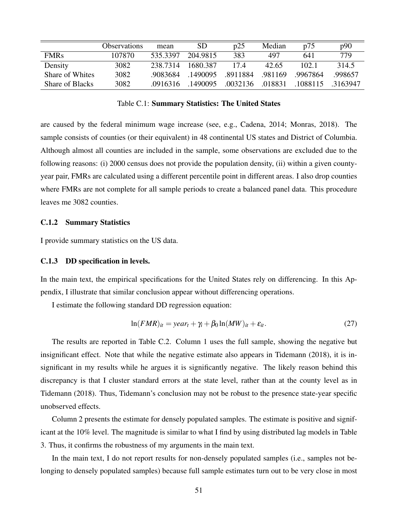|                        | <b>Observations</b> | mean     | <b>SD</b> | p25      | Median  | p75      | p90      |
|------------------------|---------------------|----------|-----------|----------|---------|----------|----------|
| <b>FMRs</b>            | 107870              | 535.3397 | 204.9815  | 383      | 497     | 641      | 779      |
| Density                | 3082                | 238.7314 | 1680.387  | 174      | 42.65   | 102.1    | 314.5    |
| Share of Whites        | 3082                | .9083684 | .1490095  | .8911884 | .981169 | .9967864 | .998657  |
| <b>Share of Blacks</b> | 3082                | .0916316 | .1490095  | .0032136 | .018831 | .1088115 | .3163947 |

Table C.1: Summary Statistics: The United States

are caused by the federal minimum wage increase (see, e.g., Cadena, 2014; Monras, 2018). The sample consists of counties (or their equivalent) in 48 continental US states and District of Columbia. Although almost all counties are included in the sample, some observations are excluded due to the following reasons: (i) 2000 census does not provide the population density, (ii) within a given countyyear pair, FMRs are calculated using a different percentile point in different areas. I also drop counties where FMRs are not complete for all sample periods to create a balanced panel data. This procedure leaves me 3082 counties.

#### C.1.2 Summary Statistics

I provide summary statistics on the US data.

#### C.1.3 DD specification in levels.

In the main text, the empirical specifications for the United States rely on differencing. In this Appendix, I illustrate that similar conclusion appear without differencing operations.

I estimate the following standard DD regression equation:

$$
\ln(FMR)_{it} = year_t + \gamma_i + \beta_0 \ln(MW)_{it} + \varepsilon_{it}.
$$
 (27)

The results are reported in Table C.2. Column 1 uses the full sample, showing the negative but insignificant effect. Note that while the negative estimate also appears in Tidemann (2018), it is insignificant in my results while he argues it is significantly negative. The likely reason behind this discrepancy is that I cluster standard errors at the state level, rather than at the county level as in Tidemann (2018). Thus, Tidemann's conclusion may not be robust to the presence state-year specific unobserved effects.

Column 2 presents the estimate for densely populated samples. The estimate is positive and significant at the 10% level. The magnitude is similar to what I find by using distributed lag models in Table 3. Thus, it confirms the robustness of my arguments in the main text.

In the main text, I do not report results for non-densely populated samples (i.e., samples not belonging to densely populated samples) because full sample estimates turn out to be very close in most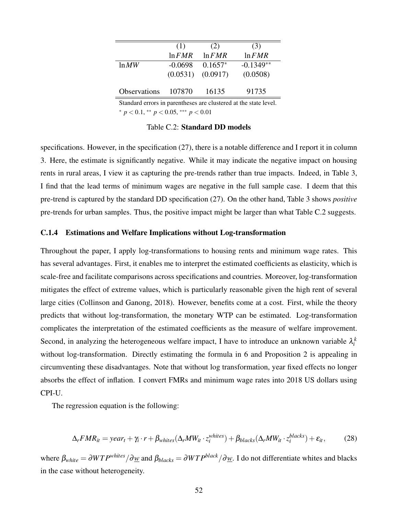|                     | (1)       | (2)       | (3)         |
|---------------------|-----------|-----------|-------------|
|                     | $\ln FMR$ | $\ln FMR$ | $\ln FMR$   |
| $\ln MW$            | $-0.0698$ | $0.1657*$ | $-0.1349**$ |
|                     | (0.0531)  | (0.0917)  | (0.0508)    |
|                     |           |           |             |
| <b>Observations</b> | 107870    | 16135     | 91735       |

Standard errors in parentheses are clustered at the state level. <sup>∗</sup> *p* < 0.1, ∗∗ *p* < 0.05, ∗∗∗ *p* < 0.01

Table C.2: Standard DD models

specifications. However, in the specification (27), there is a notable difference and I report it in column 3. Here, the estimate is significantly negative. While it may indicate the negative impact on housing rents in rural areas, I view it as capturing the pre-trends rather than true impacts. Indeed, in Table 3, I find that the lead terms of minimum wages are negative in the full sample case. I deem that this pre-trend is captured by the standard DD specification (27). On the other hand, Table 3 shows *positive* pre-trends for urban samples. Thus, the positive impact might be larger than what Table C.2 suggests.

#### C.1.4 Estimations and Welfare Implications without Log-transformation

Throughout the paper, I apply log-transformations to housing rents and minimum wage rates. This has several advantages. First, it enables me to interpret the estimated coefficients as elasticity, which is scale-free and facilitate comparisons across specifications and countries. Moreover, log-transformation mitigates the effect of extreme values, which is particularly reasonable given the high rent of several large cities (Collinson and Ganong, 2018). However, benefits come at a cost. First, while the theory predicts that without log-transformation, the monetary WTP can be estimated. Log-transformation complicates the interpretation of the estimated coefficients as the measure of welfare improvement. Second, in analyzing the heterogeneous welfare impact, I have to introduce an unknown variable  $\lambda_i^k$ without log-transformation. Directly estimating the formula in 6 and Proposition 2 is appealing in circumventing these disadvantages. Note that without log transformation, year fixed effects no longer absorbs the effect of inflation. I convert FMRs and minimum wage rates into 2018 US dollars using CPI-U.

The regression equation is the following:

$$
\Delta_r FMR_{it} = year_t + \gamma_i \cdot r + \beta_{whites} (\Delta_r MW_{it} \cdot z_i^{whites}) + \beta_{blacks} (\Delta_r MW_{it} \cdot z_i^{blacks}) + \varepsilon_{it}, \tag{28}
$$

where  $\beta_{white} = \partial WTP^{whites}/\partial w$  and  $\beta_{blacks} = \partial WTP^{black}/\partial w$ . I do not differentiate whites and blacks in the case without heterogeneity.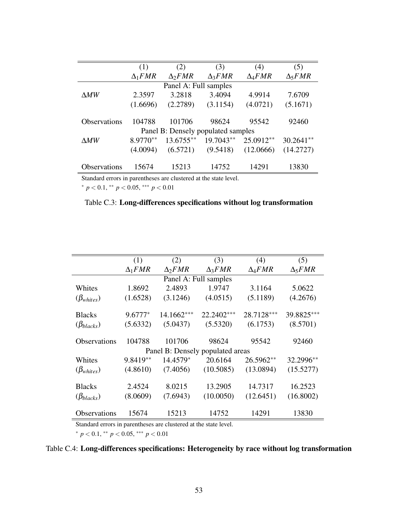|                     | (1)            | (2)                                | (3)            | (4)            | (5)                         |
|---------------------|----------------|------------------------------------|----------------|----------------|-----------------------------|
|                     | $\Delta_1 FMR$ | $\Delta_2 FMR$                     | $\Delta_3 FMR$ | $\Delta_4 FMR$ | $\Delta$ <sub>5</sub> $FMR$ |
|                     |                | Panel A: Full samples              |                |                |                             |
| $\Delta MW$         | 2.3597         | 3.2818                             | 3.4094         | 4.9914         | 7.6709                      |
|                     | (1.6696)       | (2.2789)                           | (3.1154)       | (4.0721)       | (5.1671)                    |
|                     |                |                                    |                |                |                             |
| Observations        | 104788         | 101706                             | 98624          | 95542          | 92460                       |
|                     |                | Panel B: Densely populated samples |                |                |                             |
| $\Delta MW$         | 8.9770**       | 13.6755**                          | 19.7043**      | 25.0912**      | $30.2641**$                 |
|                     | (4.0094)       | (6.5721)                           | (9.5418)       | (12.0666)      | (14.2727)                   |
|                     |                |                                    |                |                |                             |
| <b>Observations</b> | 15674          | 15213                              | 14752          | 14291          | 13830                       |
|                     |                |                                    |                |                |                             |

Standard errors in parentheses are clustered at the state level. <sup>∗</sup> *p* < 0.1, ∗∗ *p* < 0.05, ∗∗∗ *p* < 0.01

| Table C.3: Long-differences specifications without log transformation |
|-----------------------------------------------------------------------|
|-----------------------------------------------------------------------|

|                                  | (1)            | (2)            | (3)            | (4)            | (5)            |  |  |  |
|----------------------------------|----------------|----------------|----------------|----------------|----------------|--|--|--|
|                                  | $\Delta_1 FMR$ | $\Delta_2 FMR$ | $\Delta_3 FMR$ | $\Delta_4 FMR$ | $\Delta_5 FMR$ |  |  |  |
| Panel A: Full samples            |                |                |                |                |                |  |  |  |
| Whites                           | 1.8692         | 2.4893         | 1.9747         | 3.1164         | 5.0622         |  |  |  |
| $(\beta_{whites})$               | (1.6528)       | (3.1246)       | (4.0515)       | (5.1189)       | (4.2676)       |  |  |  |
| <b>Blacks</b>                    | $9.6777*$      | 14.1662***     | 22.2402***     | 28.7128***     | 39.8825***     |  |  |  |
| $(\beta_{blacks})$               | (5.6332)       | (5.0437)       | (5.5320)       | (6.1753)       | (8.5701)       |  |  |  |
| <b>Observations</b>              | 104788         | 101706         | 98624          | 95542          | 92460          |  |  |  |
| Panel B: Densely populated areas |                |                |                |                |                |  |  |  |
| Whites                           | 9.8419**       | 14.4579*       | 20.6164        | 26.5962**      | 32.2996**      |  |  |  |
| $(\beta_{whites})$               | (4.8610)       | (7.4056)       | (10.5085)      | (13.0894)      | (15.5277)      |  |  |  |
| <b>Blacks</b>                    | 2.4524         | 8.0215         | 13.2905        | 14.7317        | 16.2523        |  |  |  |
| $(\beta_{blacks})$               | (8.0609)       | (7.6943)       | (10.0050)      | (12.6451)      | (16.8002)      |  |  |  |
| Observations                     | 15674          | 15213          | 14752          | 14291          | 13830          |  |  |  |

Standard errors in parentheses are clustered at the state level.

<sup>∗</sup> *p* < 0.1, ∗∗ *p* < 0.05, ∗∗∗ *p* < 0.01

## Table C.4: Long-differences specifications: Heterogeneity by race without log transformation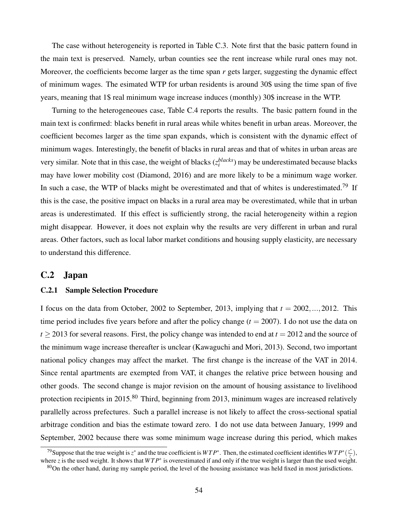The case without heterogeneity is reported in Table C.3. Note first that the basic pattern found in the main text is preserved. Namely, urban counties see the rent increase while rural ones may not. Moreover, the coefficients become larger as the time span *r* gets larger, suggesting the dynamic effect of minimum wages. The esimated WTP for urban residents is around 30\$ using the time span of five years, meaning that 1\$ real minimum wage increase induces (monthly) 30\$ increase in the WTP.

Turning to the heterogeneoues case, Table C.4 reports the results. The basic pattern found in the main text is confirmed: blacks benefit in rural areas while whites benefit in urban areas. Moreover, the coefficient becomes larger as the time span expands, which is consistent with the dynamic effect of minimum wages. Interestingly, the benefit of blacks in rural areas and that of whites in urban areas are very similar. Note that in this case, the weight of blacks  $(z_i^{blacks})$  may be underestimated because blacks may have lower mobility cost (Diamond, 2016) and are more likely to be a minimum wage worker. In such a case, the WTP of blacks might be overestimated and that of whites is underestimated.<sup>79</sup> If this is the case, the positive impact on blacks in a rural area may be overestimated, while that in urban areas is underestimated. If this effect is sufficiently strong, the racial heterogeneity within a region might disappear. However, it does not explain why the results are very different in urban and rural areas. Other factors, such as local labor market conditions and housing supply elasticity, are necessary to understand this difference.

### C.2 Japan

#### C.2.1 Sample Selection Procedure

I focus on the data from October, 2002 to September, 2013, implying that  $t = 2002, \ldots, 2012$ . This time period includes five years before and after the policy change  $(t = 2007)$ . I do not use the data on  $t \ge 2013$  for several reasons. First, the policy change was intended to end at  $t = 2012$  and the source of the minimum wage increase thereafter is unclear (Kawaguchi and Mori, 2013). Second, two important national policy changes may affect the market. The first change is the increase of the VAT in 2014. Since rental apartments are exempted from VAT, it changes the relative price between housing and other goods. The second change is major revision on the amount of housing assistance to livelihood protection recipients in 2015.<sup>80</sup> Third, beginning from 2013, minimum wages are increased relatively parallelly across prefectures. Such a parallel increase is not likely to affect the cross-sectional spatial arbitrage condition and bias the estimate toward zero. I do not use data between January, 1999 and September, 2002 because there was some minimum wage increase during this period, which makes

<sup>&</sup>lt;sup>79</sup> Suppose that the true weight is  $z^*$  and the true coefficient is  $WTP^*$ . Then, the estimated coefficient identifies  $WTP^*(\frac{z^*}{z})$ *z* ), where *z* is the used weight. It shows that  $WTP^*$  is overestimated if and only if the true weight is larger than the used weight.

 $80$ On the other hand, during my sample period, the level of the housing assistance was held fixed in most jurisdictions.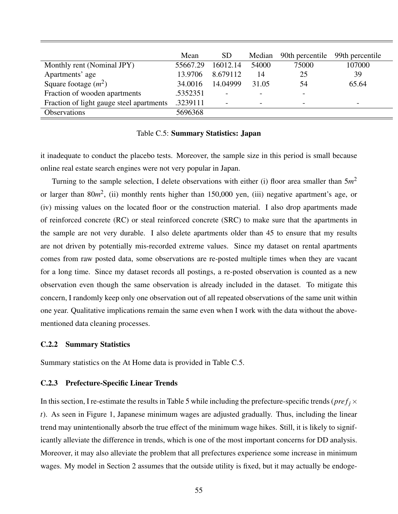|                                          | Mean     | <b>SD</b>                | Median | 90th percentile | 99th percentile          |
|------------------------------------------|----------|--------------------------|--------|-----------------|--------------------------|
| Monthly rent (Nominal JPY)               | 55667.29 | 16012.14                 | 54000  | 75000           | 107000                   |
| Apartments' age                          | 13.9706  | 8.679112                 | 14     | 25              | 39                       |
| Square footage $(m^2)$                   | 34.0016  | 14.04999                 | 31.05  | 54              | 65.64                    |
| Fraction of wooden apartments            | .5352351 | $\overline{\phantom{0}}$ |        |                 |                          |
| Fraction of light gauge steel apartments | .3239111 |                          |        |                 | $\overline{\phantom{0}}$ |
| <b>Observations</b>                      | 5696368  |                          |        |                 |                          |

#### Table C.5: Summary Statistics: Japan

it inadequate to conduct the placebo tests. Moreover, the sample size in this period is small because online real estate search engines were not very popular in Japan.

Turning to the sample selection, I delete observations with either (i) floor area smaller than 5*m* 2 or larger than 80m<sup>2</sup>, (ii) monthly rents higher than 150,000 yen, (iii) negative apartment's age, or (iv) missing values on the located floor or the construction material. I also drop apartments made of reinforced concrete (RC) or steal reinforced concrete (SRC) to make sure that the apartments in the sample are not very durable. I also delete apartments older than 45 to ensure that my results are not driven by potentially mis-recorded extreme values. Since my dataset on rental apartments comes from raw posted data, some observations are re-posted multiple times when they are vacant for a long time. Since my dataset records all postings, a re-posted observation is counted as a new observation even though the same observation is already included in the dataset. To mitigate this concern, I randomly keep only one observation out of all repeated observations of the same unit within one year. Qualitative implications remain the same even when I work with the data without the abovementioned data cleaning processes.

#### C.2.2 Summary Statistics

Summary statistics on the At Home data is provided in Table C.5.

#### C.2.3 Prefecture-Specific Linear Trends

In this section, I re-estimate the results in Table 5 while including the prefecture-specific trends ( $pref<sub>j</sub> \times$ *t*). As seen in Figure 1, Japanese minimum wages are adjusted gradually. Thus, including the linear trend may unintentionally absorb the true effect of the minimum wage hikes. Still, it is likely to significantly alleviate the difference in trends, which is one of the most important concerns for DD analysis. Moreover, it may also alleviate the problem that all prefectures experience some increase in minimum wages. My model in Section 2 assumes that the outside utility is fixed, but it may actually be endoge-